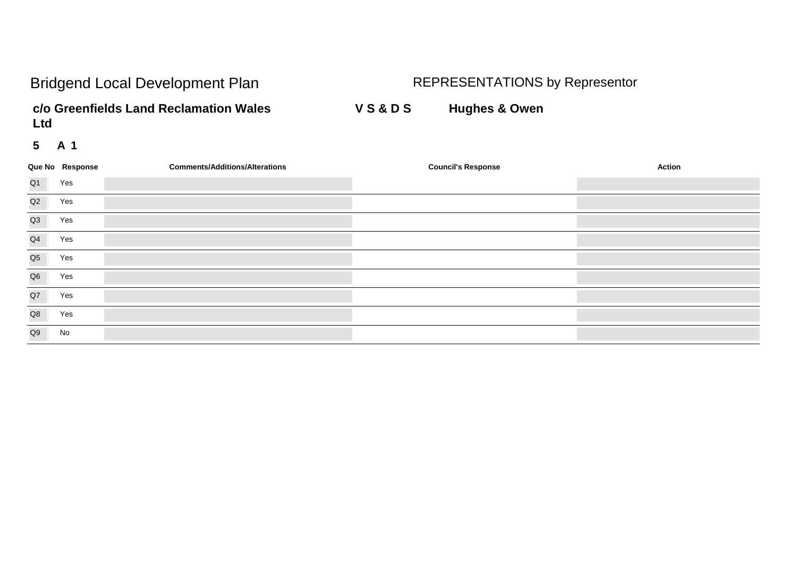**c/o Greenfields Land Reclamation Wales V S & D S Hughes & Owen Ltd**

|                | Que No Response | <b>Comments/Additions/Alterations</b> | <b>Council's Response</b> | <b>Action</b> |
|----------------|-----------------|---------------------------------------|---------------------------|---------------|
| Q <sub>1</sub> | Yes             |                                       |                           |               |
| Q2             | Yes             |                                       |                           |               |
| Q3             | Yes             |                                       |                           |               |
| Q4             | Yes             |                                       |                           |               |
| Q <sub>5</sub> | Yes             |                                       |                           |               |
| Q6             | Yes             |                                       |                           |               |
| Q7             | Yes             |                                       |                           |               |
| Q8             | Yes             |                                       |                           |               |
| Q9             | No              |                                       |                           |               |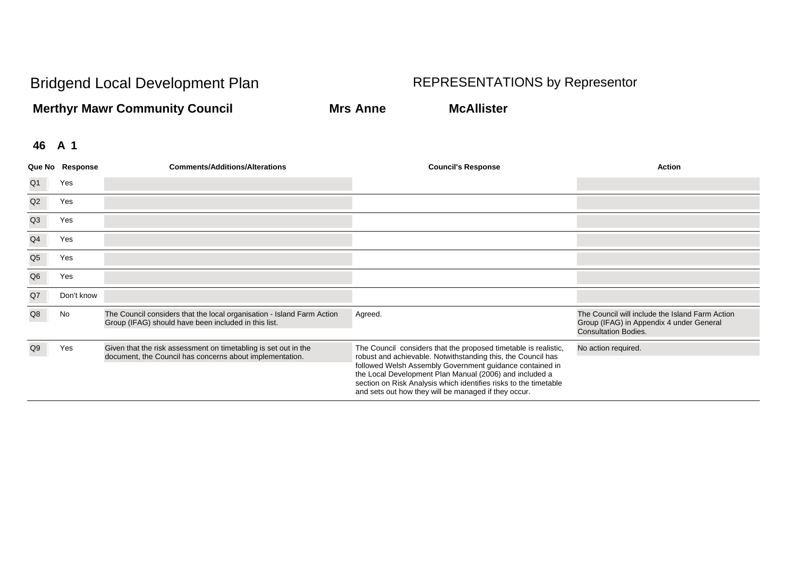**Merthyr Mawr Community Council Mrs Anne McAllister**

|                | Que No Response | <b>Comments/Additions/Alterations</b>                                                                                          | <b>Council's Response</b>                                                                                                                                                                                                                                                                                                                                                          | Action                                                                                                                     |
|----------------|-----------------|--------------------------------------------------------------------------------------------------------------------------------|------------------------------------------------------------------------------------------------------------------------------------------------------------------------------------------------------------------------------------------------------------------------------------------------------------------------------------------------------------------------------------|----------------------------------------------------------------------------------------------------------------------------|
| Q1             | Yes             |                                                                                                                                |                                                                                                                                                                                                                                                                                                                                                                                    |                                                                                                                            |
| Q2             | Yes             |                                                                                                                                |                                                                                                                                                                                                                                                                                                                                                                                    |                                                                                                                            |
| Q3             | Yes             |                                                                                                                                |                                                                                                                                                                                                                                                                                                                                                                                    |                                                                                                                            |
| Q <sub>4</sub> | Yes             |                                                                                                                                |                                                                                                                                                                                                                                                                                                                                                                                    |                                                                                                                            |
| Q <sub>5</sub> | Yes             |                                                                                                                                |                                                                                                                                                                                                                                                                                                                                                                                    |                                                                                                                            |
| Q <sub>6</sub> | Yes             |                                                                                                                                |                                                                                                                                                                                                                                                                                                                                                                                    |                                                                                                                            |
| $\mathsf{Q}7$  | Don't know      |                                                                                                                                |                                                                                                                                                                                                                                                                                                                                                                                    |                                                                                                                            |
| Q8             | No              | The Council considers that the local organisation - Island Farm Action<br>Group (IFAG) should have been included in this list. | Agreed.                                                                                                                                                                                                                                                                                                                                                                            | The Council will include the Island Farm Action<br>Group (IFAG) in Appendix 4 under General<br><b>Consultation Bodies.</b> |
| Q9             | Yes             | Given that the risk assessment on timetabling is set out in the<br>document, the Council has concerns about implementation.    | The Council considers that the proposed timetable is realistic,<br>robust and achievable. Notwithstanding this, the Council has<br>followed Welsh Assembly Government guidance contained in<br>the Local Development Plan Manual (2006) and included a<br>section on Risk Analysis which identifies risks to the timetable<br>and sets out how they will be managed if they occur. | No action required.                                                                                                        |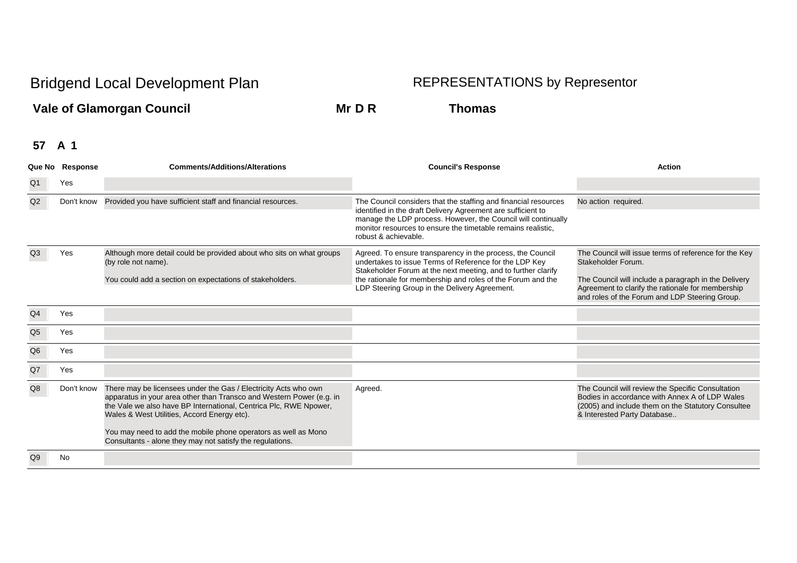**Vale of Glamorgan Council Mr D R Thomas**

|                | Que No Response | <b>Comments/Additions/Alterations</b>                                                                                                                                                                                                                       | <b>Council's Response</b>                                                                                                                                                                                                                                                                             | <b>Action</b>                                                                                                                                                                                                                              |
|----------------|-----------------|-------------------------------------------------------------------------------------------------------------------------------------------------------------------------------------------------------------------------------------------------------------|-------------------------------------------------------------------------------------------------------------------------------------------------------------------------------------------------------------------------------------------------------------------------------------------------------|--------------------------------------------------------------------------------------------------------------------------------------------------------------------------------------------------------------------------------------------|
| Q <sub>1</sub> | Yes             |                                                                                                                                                                                                                                                             |                                                                                                                                                                                                                                                                                                       |                                                                                                                                                                                                                                            |
| Q2             | Don't know      | Provided you have sufficient staff and financial resources.                                                                                                                                                                                                 | The Council considers that the staffing and financial resources<br>identified in the draft Delivery Agreement are sufficient to<br>manage the LDP process. However, the Council will continually<br>monitor resources to ensure the timetable remains realistic.<br>robust & achievable.              | No action required.                                                                                                                                                                                                                        |
| Q3             | Yes             | Although more detail could be provided about who sits on what groups<br>(by role not name).<br>You could add a section on expectations of stakeholders.                                                                                                     | Agreed. To ensure transparency in the process, the Council<br>undertakes to issue Terms of Reference for the LDP Key<br>Stakeholder Forum at the next meeting, and to further clarify<br>the rationale for membership and roles of the Forum and the<br>LDP Steering Group in the Delivery Agreement. | The Council will issue terms of reference for the Key<br>Stakeholder Forum.<br>The Council will include a paragraph in the Delivery<br>Agreement to clarify the rationale for membership<br>and roles of the Forum and LDP Steering Group. |
| Q <sub>4</sub> | Yes             |                                                                                                                                                                                                                                                             |                                                                                                                                                                                                                                                                                                       |                                                                                                                                                                                                                                            |
| Q <sub>5</sub> | Yes             |                                                                                                                                                                                                                                                             |                                                                                                                                                                                                                                                                                                       |                                                                                                                                                                                                                                            |
| Q <sub>6</sub> | Yes             |                                                                                                                                                                                                                                                             |                                                                                                                                                                                                                                                                                                       |                                                                                                                                                                                                                                            |
| Q7             | Yes             |                                                                                                                                                                                                                                                             |                                                                                                                                                                                                                                                                                                       |                                                                                                                                                                                                                                            |
| Q8             | Don't know      | There may be licensees under the Gas / Electricity Acts who own<br>apparatus in your area other than Transco and Western Power (e.g. in<br>the Vale we also have BP International, Centrica Plc, RWE Npower,<br>Wales & West Utilities, Accord Energy etc). | Agreed.                                                                                                                                                                                                                                                                                               | The Council will review the Specific Consultation<br>Bodies in accordance with Annex A of LDP Wales<br>(2005) and include them on the Statutory Consultee<br>& Interested Party Database                                                   |
|                |                 | You may need to add the mobile phone operators as well as Mono<br>Consultants - alone they may not satisfy the regulations.                                                                                                                                 |                                                                                                                                                                                                                                                                                                       |                                                                                                                                                                                                                                            |
| Q9             | No              |                                                                                                                                                                                                                                                             |                                                                                                                                                                                                                                                                                                       |                                                                                                                                                                                                                                            |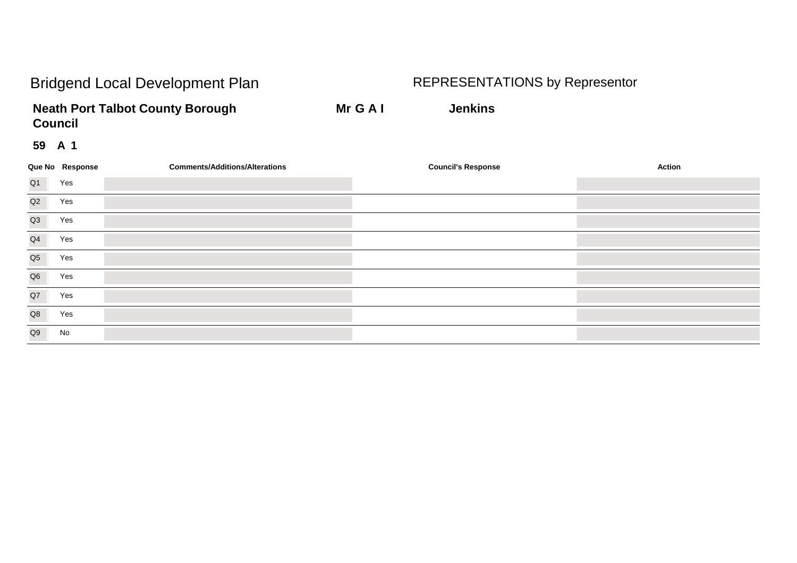**Neath Port Talbot County Borough Mr G A I Jenkins Council**

|                | Que No Response | <b>Comments/Additions/Alterations</b> | <b>Council's Response</b> | <b>Action</b> |
|----------------|-----------------|---------------------------------------|---------------------------|---------------|
| Q <sub>1</sub> | Yes             |                                       |                           |               |
| Q2             | Yes             |                                       |                           |               |
| Q3             | Yes             |                                       |                           |               |
| Q4             | Yes             |                                       |                           |               |
| Q <sub>5</sub> | Yes             |                                       |                           |               |
| Q <sub>6</sub> | Yes             |                                       |                           |               |
| Q7             | Yes             |                                       |                           |               |
| Q8             | Yes             |                                       |                           |               |
| Q9             | No              |                                       |                           |               |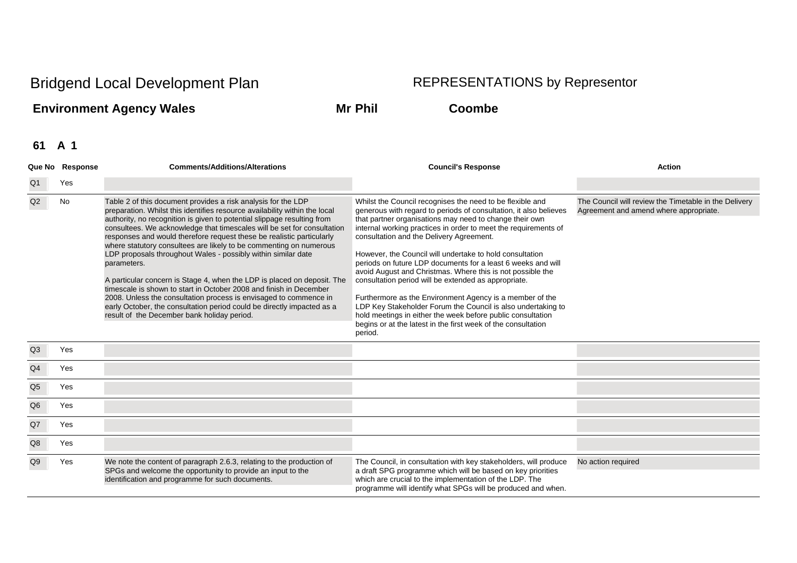## **Environment Agency Wales Mr Phil Coombe**

|                | Que No Response | <b>Comments/Additions/Alterations</b>                                                                                                                                                                                                                                                                                                                                                                                                                                                                                                                                                                                                                                                                                                                                                                                                                                           | <b>Council's Response</b>                                                                                                                                                                                                                                                                                                                                                                                                                                                                                                                                                                                                                                                                                                                                                                                                         | <b>Action</b>                                                                                   |
|----------------|-----------------|---------------------------------------------------------------------------------------------------------------------------------------------------------------------------------------------------------------------------------------------------------------------------------------------------------------------------------------------------------------------------------------------------------------------------------------------------------------------------------------------------------------------------------------------------------------------------------------------------------------------------------------------------------------------------------------------------------------------------------------------------------------------------------------------------------------------------------------------------------------------------------|-----------------------------------------------------------------------------------------------------------------------------------------------------------------------------------------------------------------------------------------------------------------------------------------------------------------------------------------------------------------------------------------------------------------------------------------------------------------------------------------------------------------------------------------------------------------------------------------------------------------------------------------------------------------------------------------------------------------------------------------------------------------------------------------------------------------------------------|-------------------------------------------------------------------------------------------------|
| Q1             | Yes             |                                                                                                                                                                                                                                                                                                                                                                                                                                                                                                                                                                                                                                                                                                                                                                                                                                                                                 |                                                                                                                                                                                                                                                                                                                                                                                                                                                                                                                                                                                                                                                                                                                                                                                                                                   |                                                                                                 |
| Q2             | No              | Table 2 of this document provides a risk analysis for the LDP<br>preparation. Whilst this identifies resource availability within the local<br>authority, no recognition is given to potential slippage resulting from<br>consultees. We acknowledge that timescales will be set for consultation<br>responses and would therefore request these be realistic particularly<br>where statutory consultees are likely to be commenting on numerous<br>LDP proposals throughout Wales - possibly within similar date<br>parameters.<br>A particular concern is Stage 4, when the LDP is placed on deposit. The<br>timescale is shown to start in October 2008 and finish in December<br>2008. Unless the consultation process is envisaged to commence in<br>early October, the consultation period could be directly impacted as a<br>result of the December bank holiday period. | Whilst the Council recognises the need to be flexible and<br>generous with regard to periods of consultation, it also believes<br>that partner organisations may need to change their own<br>internal working practices in order to meet the requirements of<br>consultation and the Delivery Agreement.<br>However, the Council will undertake to hold consultation<br>periods on future LDP documents for a least 6 weeks and will<br>avoid August and Christmas. Where this is not possible the<br>consultation period will be extended as appropriate.<br>Furthermore as the Environment Agency is a member of the<br>LDP Key Stakeholder Forum the Council is also undertaking to<br>hold meetings in either the week before public consultation<br>begins or at the latest in the first week of the consultation<br>period. | The Council will review the Timetable in the Delivery<br>Agreement and amend where appropriate. |
| Q3             | Yes             |                                                                                                                                                                                                                                                                                                                                                                                                                                                                                                                                                                                                                                                                                                                                                                                                                                                                                 |                                                                                                                                                                                                                                                                                                                                                                                                                                                                                                                                                                                                                                                                                                                                                                                                                                   |                                                                                                 |
| Q <sub>4</sub> | Yes             |                                                                                                                                                                                                                                                                                                                                                                                                                                                                                                                                                                                                                                                                                                                                                                                                                                                                                 |                                                                                                                                                                                                                                                                                                                                                                                                                                                                                                                                                                                                                                                                                                                                                                                                                                   |                                                                                                 |
| Q <sub>5</sub> | Yes             |                                                                                                                                                                                                                                                                                                                                                                                                                                                                                                                                                                                                                                                                                                                                                                                                                                                                                 |                                                                                                                                                                                                                                                                                                                                                                                                                                                                                                                                                                                                                                                                                                                                                                                                                                   |                                                                                                 |
| Q <sub>6</sub> | Yes             |                                                                                                                                                                                                                                                                                                                                                                                                                                                                                                                                                                                                                                                                                                                                                                                                                                                                                 |                                                                                                                                                                                                                                                                                                                                                                                                                                                                                                                                                                                                                                                                                                                                                                                                                                   |                                                                                                 |
| Q7             | Yes             |                                                                                                                                                                                                                                                                                                                                                                                                                                                                                                                                                                                                                                                                                                                                                                                                                                                                                 |                                                                                                                                                                                                                                                                                                                                                                                                                                                                                                                                                                                                                                                                                                                                                                                                                                   |                                                                                                 |
| Q8             | Yes             |                                                                                                                                                                                                                                                                                                                                                                                                                                                                                                                                                                                                                                                                                                                                                                                                                                                                                 |                                                                                                                                                                                                                                                                                                                                                                                                                                                                                                                                                                                                                                                                                                                                                                                                                                   |                                                                                                 |
| Q9             | Yes             | We note the content of paragraph 2.6.3, relating to the production of<br>SPGs and welcome the opportunity to provide an input to the<br>identification and programme for such documents.                                                                                                                                                                                                                                                                                                                                                                                                                                                                                                                                                                                                                                                                                        | The Council, in consultation with key stakeholders, will produce<br>a draft SPG programme which will be based on key priorities<br>which are crucial to the implementation of the LDP. The<br>programme will identify what SPGs will be produced and when.                                                                                                                                                                                                                                                                                                                                                                                                                                                                                                                                                                        | No action required                                                                              |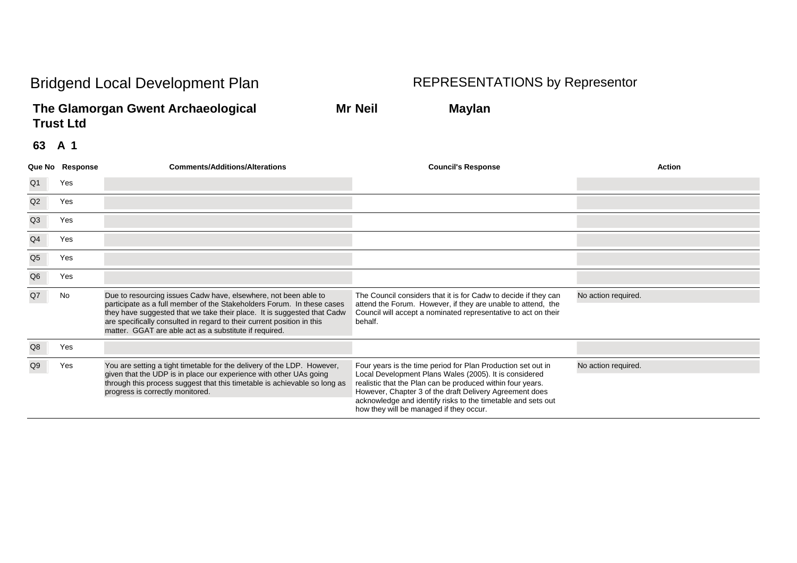**The Glamorgan Gwent Archaeological Mr Neil Maylan Trust Ltd**

|                | Que No Response | <b>Comments/Additions/Alterations</b>                                                                                                                                                                                                                                                                                                                    | <b>Council's Response</b>                                                                                                                                                                                                                                                                                                                                  | <b>Action</b>       |
|----------------|-----------------|----------------------------------------------------------------------------------------------------------------------------------------------------------------------------------------------------------------------------------------------------------------------------------------------------------------------------------------------------------|------------------------------------------------------------------------------------------------------------------------------------------------------------------------------------------------------------------------------------------------------------------------------------------------------------------------------------------------------------|---------------------|
| Q1             | Yes             |                                                                                                                                                                                                                                                                                                                                                          |                                                                                                                                                                                                                                                                                                                                                            |                     |
| Q2             | Yes             |                                                                                                                                                                                                                                                                                                                                                          |                                                                                                                                                                                                                                                                                                                                                            |                     |
| Q3             | Yes             |                                                                                                                                                                                                                                                                                                                                                          |                                                                                                                                                                                                                                                                                                                                                            |                     |
| Q4             | Yes             |                                                                                                                                                                                                                                                                                                                                                          |                                                                                                                                                                                                                                                                                                                                                            |                     |
| Q <sub>5</sub> | Yes             |                                                                                                                                                                                                                                                                                                                                                          |                                                                                                                                                                                                                                                                                                                                                            |                     |
| Q <sub>6</sub> | Yes             |                                                                                                                                                                                                                                                                                                                                                          |                                                                                                                                                                                                                                                                                                                                                            |                     |
| Q7             | <b>No</b>       | Due to resourcing issues Cadw have, elsewhere, not been able to<br>participate as a full member of the Stakeholders Forum. In these cases<br>they have suggested that we take their place. It is suggested that Cadw<br>are specifically consulted in regard to their current position in this<br>matter. GGAT are able act as a substitute if required. | The Council considers that it is for Cadw to decide if they can<br>attend the Forum. However, if they are unable to attend, the<br>Council will accept a nominated representative to act on their<br>behalf.                                                                                                                                               | No action required. |
| Q8             | Yes             |                                                                                                                                                                                                                                                                                                                                                          |                                                                                                                                                                                                                                                                                                                                                            |                     |
| Q <sub>9</sub> | Yes             | You are setting a tight timetable for the delivery of the LDP. However,<br>given that the UDP is in place our experience with other UAs going<br>through this process suggest that this timetable is achievable so long as<br>progress is correctly monitored.                                                                                           | Four years is the time period for Plan Production set out in<br>Local Development Plans Wales (2005). It is considered<br>realistic that the Plan can be produced within four years.<br>However, Chapter 3 of the draft Delivery Agreement does<br>acknowledge and identify risks to the timetable and sets out<br>how they will be managed if they occur. | No action required. |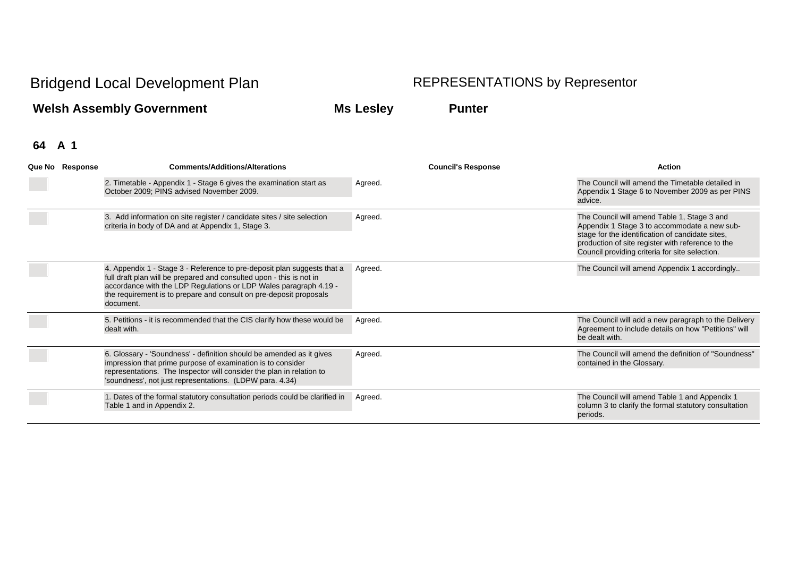**Welsh Assembly Government Ms Lesley Punter**

| Que No Response | <b>Comments/Additions/Alterations</b>                                                                                                                                                                                                                                                                   | <b>Council's Response</b> | <b>Action</b>                                                                                                                                                                                                                                          |
|-----------------|---------------------------------------------------------------------------------------------------------------------------------------------------------------------------------------------------------------------------------------------------------------------------------------------------------|---------------------------|--------------------------------------------------------------------------------------------------------------------------------------------------------------------------------------------------------------------------------------------------------|
|                 | 2. Timetable - Appendix 1 - Stage 6 gives the examination start as<br>October 2009; PINS advised November 2009.                                                                                                                                                                                         | Agreed.                   | The Council will amend the Timetable detailed in<br>Appendix 1 Stage 6 to November 2009 as per PINS<br>advice.                                                                                                                                         |
|                 | 3. Add information on site register / candidate sites / site selection<br>criteria in body of DA and at Appendix 1, Stage 3.                                                                                                                                                                            | Agreed.                   | The Council will amend Table 1, Stage 3 and<br>Appendix 1 Stage 3 to accommodate a new sub-<br>stage for the identification of candidate sites,<br>production of site register with reference to the<br>Council providing criteria for site selection. |
|                 | 4. Appendix 1 - Stage 3 - Reference to pre-deposit plan suggests that a<br>full draft plan will be prepared and consulted upon - this is not in<br>accordance with the LDP Regulations or LDP Wales paragraph 4.19 -<br>the requirement is to prepare and consult on pre-deposit proposals<br>document. | Agreed.                   | The Council will amend Appendix 1 accordingly                                                                                                                                                                                                          |
|                 | 5. Petitions - it is recommended that the CIS clarify how these would be<br>dealt with.                                                                                                                                                                                                                 | Agreed.                   | The Council will add a new paragraph to the Delivery<br>Agreement to include details on how "Petitions" will<br>be dealt with.                                                                                                                         |
|                 | 6. Glossary - 'Soundness' - definition should be amended as it gives<br>impression that prime purpose of examination is to consider<br>representations. The Inspector will consider the plan in relation to<br>'soundness', not just representations. (LDPW para. 4.34)                                 | Agreed.                   | The Council will amend the definition of "Soundness"<br>contained in the Glossary.                                                                                                                                                                     |
|                 | 1. Dates of the formal statutory consultation periods could be clarified in<br>Table 1 and in Appendix 2.                                                                                                                                                                                               | Agreed.                   | The Council will amend Table 1 and Appendix 1<br>column 3 to clarify the formal statutory consultation<br>periods.                                                                                                                                     |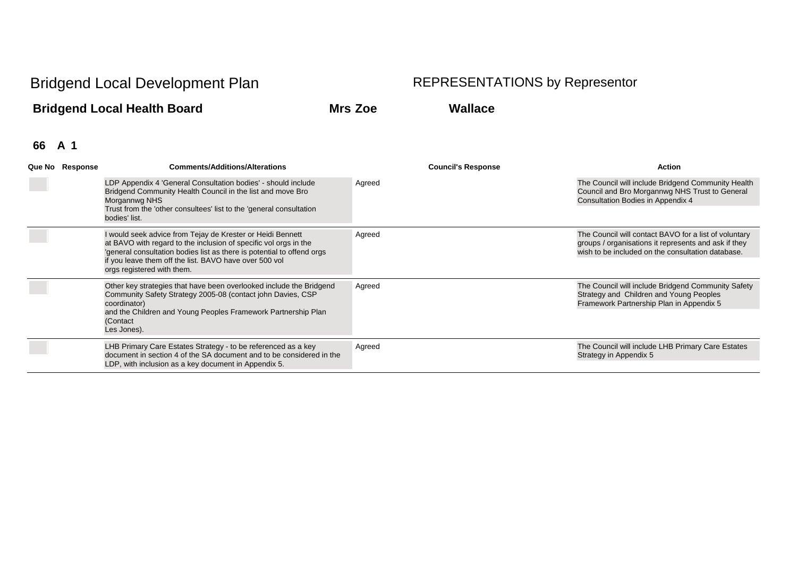## **Bridgend Local Health Board Mrs Zoe Wallace**

| Que No Response            | <b>Comments/Additions/Alterations</b>                                                                                                                                                                                                                             | <b>Council's Response</b> | <b>Action</b>                                                                                                                                                      |
|----------------------------|-------------------------------------------------------------------------------------------------------------------------------------------------------------------------------------------------------------------------------------------------------------------|---------------------------|--------------------------------------------------------------------------------------------------------------------------------------------------------------------|
|                            | LDP Appendix 4 'General Consultation bodies' - should include<br>Bridgend Community Health Council in the list and move Bro<br>Morgannwg NHS<br>Trust from the 'other consultees' list to the 'general consultation                                               | Agreed                    | The Council will include Bridgend Community Health<br>Council and Bro Morgannwg NHS Trust to General<br>Consultation Bodies in Appendix 4                          |
|                            | bodies' list.                                                                                                                                                                                                                                                     |                           |                                                                                                                                                                    |
|                            | I would seek advice from Tejay de Krester or Heidi Bennett<br>at BAVO with regard to the inclusion of specific vol orgs in the<br>general consultation bodies list as there is potential to offend orgs<br>if you leave them off the list. BAVO have over 500 vol | Agreed                    | The Council will contact BAVO for a list of voluntary<br>groups / organisations it represents and ask if they<br>wish to be included on the consultation database. |
| orgs registered with them. |                                                                                                                                                                                                                                                                   |                           |                                                                                                                                                                    |
|                            | Other key strategies that have been overlooked include the Bridgend<br>Community Safety Strategy 2005-08 (contact john Davies, CSP<br>coordinator)                                                                                                                | Agreed                    | The Council will include Bridgend Community Safety<br>Strategy and Children and Young Peoples<br>Framework Partnership Plan in Appendix 5                          |
|                            | and the Children and Young Peoples Framework Partnership Plan<br>(Contact<br>Les Jones).                                                                                                                                                                          |                           |                                                                                                                                                                    |
|                            | LHB Primary Care Estates Strategy - to be referenced as a key<br>document in section 4 of the SA document and to be considered in the<br>LDP, with inclusion as a key document in Appendix 5.                                                                     | Agreed                    | The Council will include LHB Primary Care Estates<br>Strategy in Appendix 5                                                                                        |
|                            |                                                                                                                                                                                                                                                                   |                           |                                                                                                                                                                    |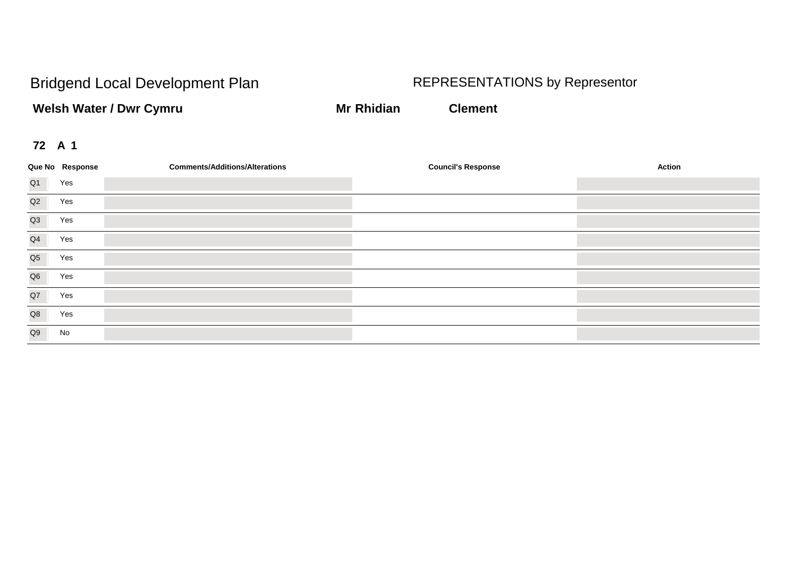**Welsh Water / Dwr Cymru Mr Rhidian Clement** 

|                | Que No Response | <b>Comments/Additions/Alterations</b> | <b>Council's Response</b> | Action |
|----------------|-----------------|---------------------------------------|---------------------------|--------|
| Q1             | Yes             |                                       |                           |        |
| Q2             | Yes             |                                       |                           |        |
| Q3             | Yes             |                                       |                           |        |
| Q <sub>4</sub> | Yes             |                                       |                           |        |
| Q <sub>5</sub> | Yes             |                                       |                           |        |
| Q <sub>6</sub> | Yes             |                                       |                           |        |
| Q7             | Yes             |                                       |                           |        |
| Q8             | Yes             |                                       |                           |        |
| Q9             | No              |                                       |                           |        |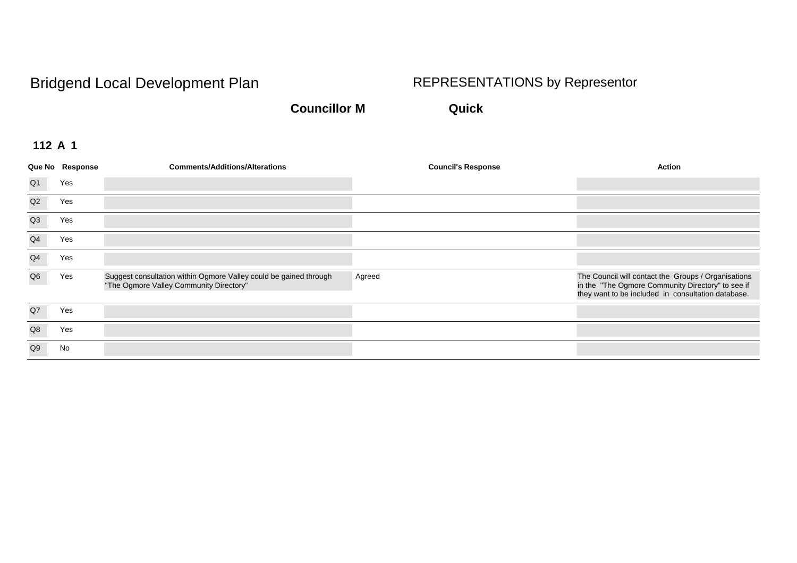**Councillor M Quick**

|                | Que No Response | <b>Comments/Additions/Alterations</b>                                                                        | <b>Council's Response</b> | <b>Action</b>                                                                                                                                                  |
|----------------|-----------------|--------------------------------------------------------------------------------------------------------------|---------------------------|----------------------------------------------------------------------------------------------------------------------------------------------------------------|
| Q <sub>1</sub> | Yes             |                                                                                                              |                           |                                                                                                                                                                |
| Q2             | Yes             |                                                                                                              |                           |                                                                                                                                                                |
| Q3             | Yes             |                                                                                                              |                           |                                                                                                                                                                |
| Q <sub>4</sub> | Yes             |                                                                                                              |                           |                                                                                                                                                                |
| Q <sub>4</sub> | Yes             |                                                                                                              |                           |                                                                                                                                                                |
| Q <sub>6</sub> | Yes             | Suggest consultation within Ogmore Valley could be gained through<br>"The Ogmore Valley Community Directory" | Agreed                    | The Council will contact the Groups / Organisations<br>in the "The Ogmore Community Directory" to see if<br>they want to be included in consultation database. |
| Q7             | Yes             |                                                                                                              |                           |                                                                                                                                                                |
| Q8             | Yes             |                                                                                                              |                           |                                                                                                                                                                |
| Q <sub>9</sub> | No              |                                                                                                              |                           |                                                                                                                                                                |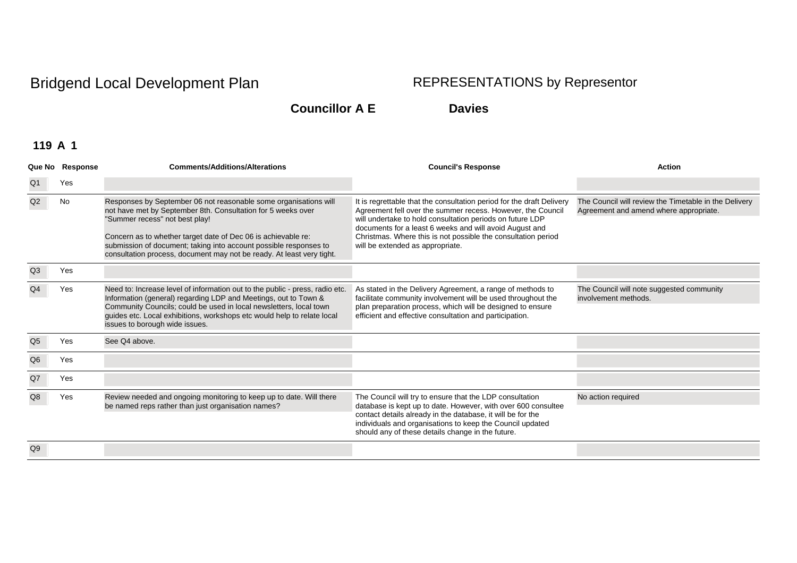**Councillor A E Davies**

|                | Que No Response | <b>Comments/Additions/Alterations</b>                                                                                                                                                                                                                                                                                                                                             | <b>Council's Response</b>                                                                                                                                                                                                                                                                                                                                         | <b>Action</b>                                                                                   |
|----------------|-----------------|-----------------------------------------------------------------------------------------------------------------------------------------------------------------------------------------------------------------------------------------------------------------------------------------------------------------------------------------------------------------------------------|-------------------------------------------------------------------------------------------------------------------------------------------------------------------------------------------------------------------------------------------------------------------------------------------------------------------------------------------------------------------|-------------------------------------------------------------------------------------------------|
| Q1             | Yes             |                                                                                                                                                                                                                                                                                                                                                                                   |                                                                                                                                                                                                                                                                                                                                                                   |                                                                                                 |
| Q2             | No              | Responses by September 06 not reasonable some organisations will<br>not have met by September 8th. Consultation for 5 weeks over<br>"Summer recess" not best play!<br>Concern as to whether target date of Dec 06 is achievable re:<br>submission of document; taking into account possible responses to<br>consultation process, document may not be ready. At least very tight. | It is regrettable that the consultation period for the draft Delivery<br>Agreement fell over the summer recess. However, the Council<br>will undertake to hold consultation periods on future LDP<br>documents for a least 6 weeks and will avoid August and<br>Christmas. Where this is not possible the consultation period<br>will be extended as appropriate. | The Council will review the Timetable in the Delivery<br>Agreement and amend where appropriate. |
| Q3             | Yes             |                                                                                                                                                                                                                                                                                                                                                                                   |                                                                                                                                                                                                                                                                                                                                                                   |                                                                                                 |
| Q4             | Yes             | Need to: Increase level of information out to the public - press, radio etc.<br>Information (general) regarding LDP and Meetings, out to Town &<br>Community Councils; could be used in local newsletters, local town<br>guides etc. Local exhibitions, workshops etc would help to relate local<br>issues to borough wide issues.                                                | As stated in the Delivery Agreement, a range of methods to<br>facilitate community involvement will be used throughout the<br>plan preparation process, which will be designed to ensure<br>efficient and effective consultation and participation.                                                                                                               | The Council will note suggested community<br>involvement methods.                               |
| Q <sub>5</sub> | Yes             | See Q4 above.                                                                                                                                                                                                                                                                                                                                                                     |                                                                                                                                                                                                                                                                                                                                                                   |                                                                                                 |
| Q6             | Yes             |                                                                                                                                                                                                                                                                                                                                                                                   |                                                                                                                                                                                                                                                                                                                                                                   |                                                                                                 |
| Q7             | Yes             |                                                                                                                                                                                                                                                                                                                                                                                   |                                                                                                                                                                                                                                                                                                                                                                   |                                                                                                 |
| Q8             | Yes             | Review needed and ongoing monitoring to keep up to date. Will there<br>be named reps rather than just organisation names?                                                                                                                                                                                                                                                         | The Council will try to ensure that the LDP consultation<br>database is kept up to date. However, with over 600 consultee<br>contact details already in the database, it will be for the<br>individuals and organisations to keep the Council updated<br>should any of these details change in the future.                                                        | No action required                                                                              |
| Q9             |                 |                                                                                                                                                                                                                                                                                                                                                                                   |                                                                                                                                                                                                                                                                                                                                                                   |                                                                                                 |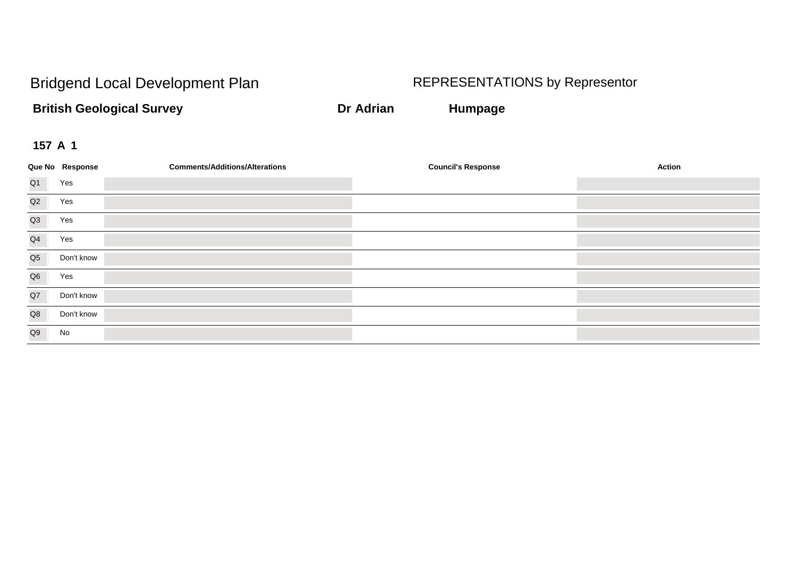**British Geological Survey Dr Adrian Humpage**

|                | Que No Response | <b>Comments/Additions/Alterations</b> | <b>Council's Response</b> | <b>Action</b> |
|----------------|-----------------|---------------------------------------|---------------------------|---------------|
| Q1             | Yes             |                                       |                           |               |
| Q2             | Yes             |                                       |                           |               |
| Q3             | Yes             |                                       |                           |               |
| Q <sub>4</sub> | Yes             |                                       |                           |               |
| Q <sub>5</sub> | Don't know      |                                       |                           |               |
| Q <sub>6</sub> | Yes             |                                       |                           |               |
| Q7             | Don't know      |                                       |                           |               |
| Q8             | Don't know      |                                       |                           |               |
| Q9             | No              |                                       |                           |               |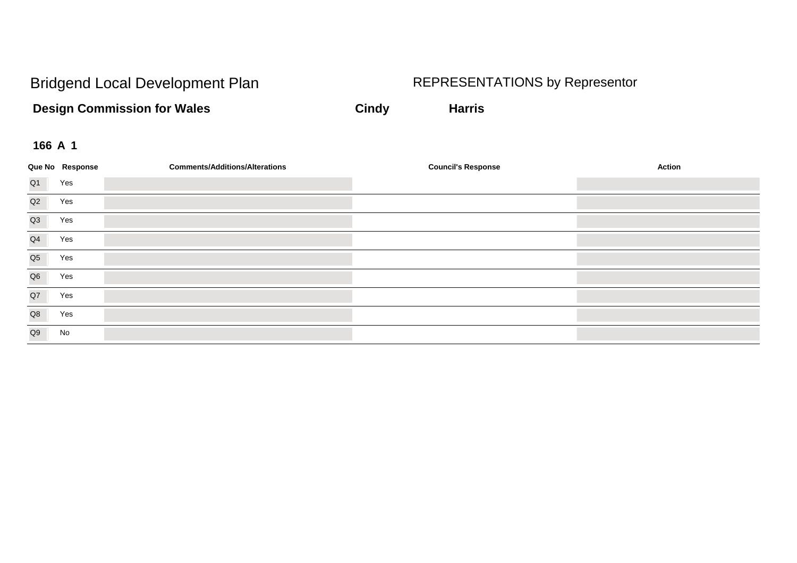**Design Commission for Wales Cindy Cindy Harris** 

|                | Que No Response | <b>Comments/Additions/Alterations</b> | <b>Council's Response</b> | <b>Action</b> |
|----------------|-----------------|---------------------------------------|---------------------------|---------------|
| Q <sub>1</sub> | Yes             |                                       |                           |               |
| Q2             | Yes             |                                       |                           |               |
| Q3             | Yes             |                                       |                           |               |
| Q <sub>4</sub> | Yes             |                                       |                           |               |
| Q <sub>5</sub> | Yes             |                                       |                           |               |
| Q <sub>6</sub> | Yes             |                                       |                           |               |
| Q7             | Yes             |                                       |                           |               |
| Q8             | Yes             |                                       |                           |               |
| Q9             | No              |                                       |                           |               |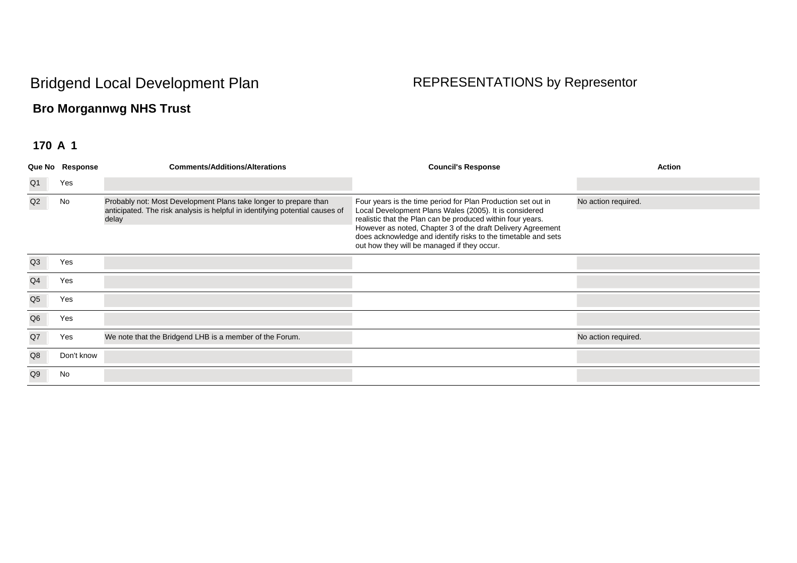## **Bro Morgannwg NHS Trust**

|                | Que No Response | <b>Comments/Additions/Alterations</b>                                                                                                                     | <b>Council's Response</b>                                                                                                                                                                                                                                                                                                                                           | Action              |
|----------------|-----------------|-----------------------------------------------------------------------------------------------------------------------------------------------------------|---------------------------------------------------------------------------------------------------------------------------------------------------------------------------------------------------------------------------------------------------------------------------------------------------------------------------------------------------------------------|---------------------|
| Q <sub>1</sub> | Yes             |                                                                                                                                                           |                                                                                                                                                                                                                                                                                                                                                                     |                     |
| Q2             | No              | Probably not: Most Development Plans take longer to prepare than<br>anticipated. The risk analysis is helpful in identifying potential causes of<br>delay | Four years is the time period for Plan Production set out in<br>Local Development Plans Wales (2005). It is considered<br>realistic that the Plan can be produced within four years.<br>However as noted, Chapter 3 of the draft Delivery Agreement<br>does acknowledge and identify risks to the timetable and sets<br>out how they will be managed if they occur. | No action required. |
| Q3             | Yes             |                                                                                                                                                           |                                                                                                                                                                                                                                                                                                                                                                     |                     |
| Q <sub>4</sub> | Yes             |                                                                                                                                                           |                                                                                                                                                                                                                                                                                                                                                                     |                     |
| Q <sub>5</sub> | Yes             |                                                                                                                                                           |                                                                                                                                                                                                                                                                                                                                                                     |                     |
| Q <sub>6</sub> | Yes             |                                                                                                                                                           |                                                                                                                                                                                                                                                                                                                                                                     |                     |
| Q7             | Yes             | We note that the Bridgend LHB is a member of the Forum.                                                                                                   |                                                                                                                                                                                                                                                                                                                                                                     | No action required. |
| Q8             | Don't know      |                                                                                                                                                           |                                                                                                                                                                                                                                                                                                                                                                     |                     |
| Q <sub>9</sub> | No              |                                                                                                                                                           |                                                                                                                                                                                                                                                                                                                                                                     |                     |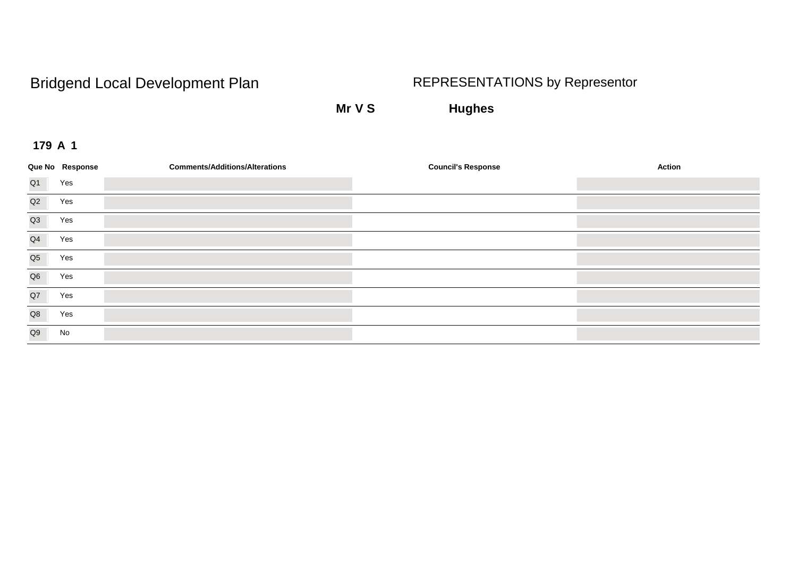**Mr V S Hughes**

|                | Que No Response | <b>Comments/Additions/Alterations</b> | <b>Council's Response</b> | Action |
|----------------|-----------------|---------------------------------------|---------------------------|--------|
| Q <sub>1</sub> | Yes             |                                       |                           |        |
| Q2             | Yes             |                                       |                           |        |
| Q <sub>3</sub> | Yes             |                                       |                           |        |
| Q4             | Yes             |                                       |                           |        |
| Q <sub>5</sub> | Yes             |                                       |                           |        |
| Q <sub>6</sub> | Yes             |                                       |                           |        |
| Q7             | Yes             |                                       |                           |        |
| Q8             | Yes             |                                       |                           |        |
| Q9             | No              |                                       |                           |        |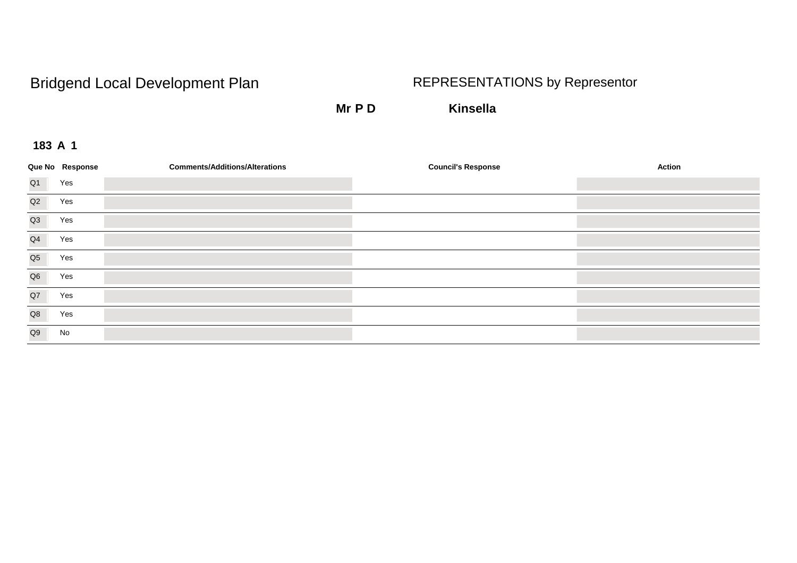**Mr P D Kinsella**

|                | Que No Response | <b>Comments/Additions/Alterations</b> | <b>Council's Response</b> | Action |
|----------------|-----------------|---------------------------------------|---------------------------|--------|
| Q <sub>1</sub> | Yes             |                                       |                           |        |
| Q2             | Yes             |                                       |                           |        |
| Q <sub>3</sub> | Yes             |                                       |                           |        |
| Q4             | Yes             |                                       |                           |        |
| Q <sub>5</sub> | Yes             |                                       |                           |        |
| Q <sub>6</sub> | Yes             |                                       |                           |        |
| Q7             | Yes             |                                       |                           |        |
| Q8             | Yes             |                                       |                           |        |
| Q9             | No              |                                       |                           |        |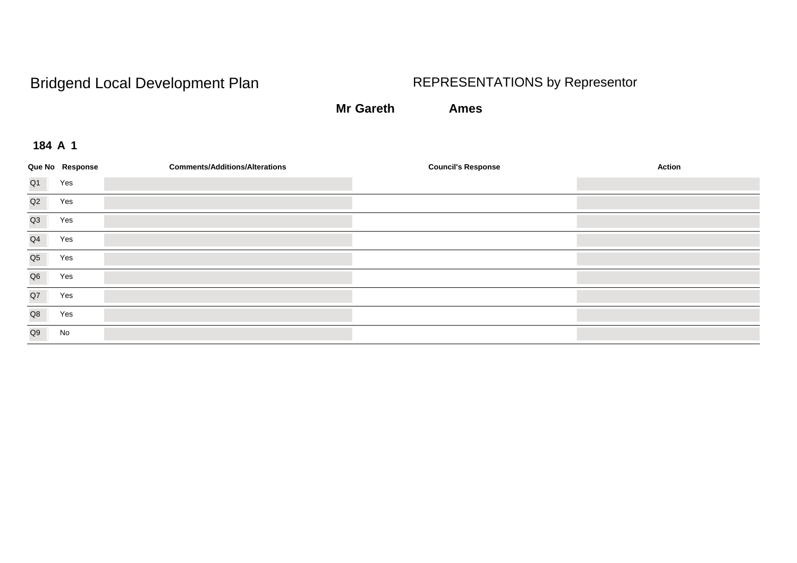**Mr Gareth Ames**

|                | Que No Response | <b>Comments/Additions/Alterations</b> | <b>Council's Response</b> | <b>Action</b> |
|----------------|-----------------|---------------------------------------|---------------------------|---------------|
| Q <sub>1</sub> | Yes             |                                       |                           |               |
| Q2             | Yes             |                                       |                           |               |
| Q <sub>3</sub> | Yes             |                                       |                           |               |
| Q4             | Yes             |                                       |                           |               |
| Q <sub>5</sub> | Yes             |                                       |                           |               |
| Q6             | Yes             |                                       |                           |               |
| Q7             | Yes             |                                       |                           |               |
| Q8             | Yes             |                                       |                           |               |
| Q9             | No              |                                       |                           |               |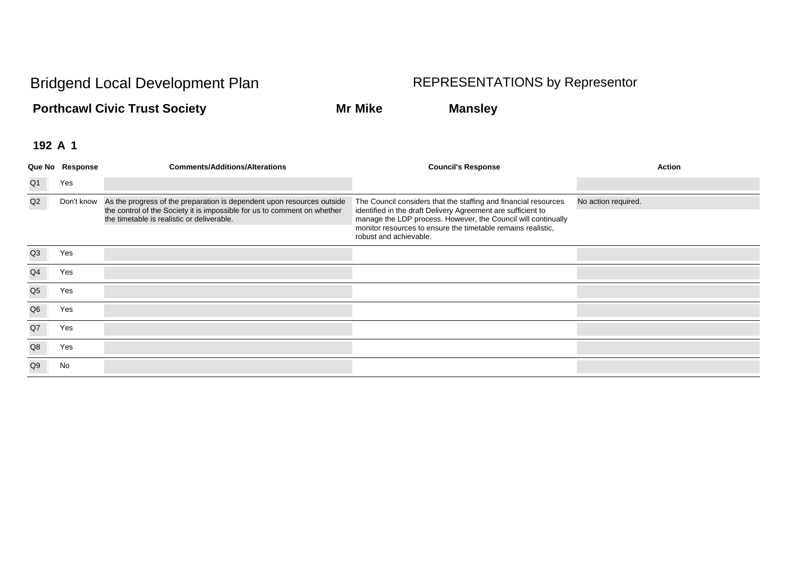**Porthcawl Civic Trust Society Mr Mike Mansley**

|                | Que No Response | <b>Comments/Additions/Alterations</b>                                                                                                                                                            | <b>Council's Response</b>                                                                                                                                                                                                                                                                  | Action              |
|----------------|-----------------|--------------------------------------------------------------------------------------------------------------------------------------------------------------------------------------------------|--------------------------------------------------------------------------------------------------------------------------------------------------------------------------------------------------------------------------------------------------------------------------------------------|---------------------|
| Q <sub>1</sub> | Yes             |                                                                                                                                                                                                  |                                                                                                                                                                                                                                                                                            |                     |
| Q2             | Don't know      | As the progress of the preparation is dependent upon resources outside<br>the control of the Society it is impossible for us to comment on whether<br>the timetable is realistic or deliverable. | The Council considers that the staffing and financial resources<br>identified in the draft Delivery Agreement are sufficient to<br>manage the LDP process. However, the Council will continually<br>monitor resources to ensure the timetable remains realistic,<br>robust and achievable. | No action required. |
| Q <sub>3</sub> | Yes             |                                                                                                                                                                                                  |                                                                                                                                                                                                                                                                                            |                     |
| Q <sub>4</sub> | Yes             |                                                                                                                                                                                                  |                                                                                                                                                                                                                                                                                            |                     |
| Q <sub>5</sub> | Yes             |                                                                                                                                                                                                  |                                                                                                                                                                                                                                                                                            |                     |
| Q <sub>6</sub> | Yes             |                                                                                                                                                                                                  |                                                                                                                                                                                                                                                                                            |                     |
| Q7             | Yes             |                                                                                                                                                                                                  |                                                                                                                                                                                                                                                                                            |                     |
| Q8             | Yes             |                                                                                                                                                                                                  |                                                                                                                                                                                                                                                                                            |                     |
| Q <sub>9</sub> | No              |                                                                                                                                                                                                  |                                                                                                                                                                                                                                                                                            |                     |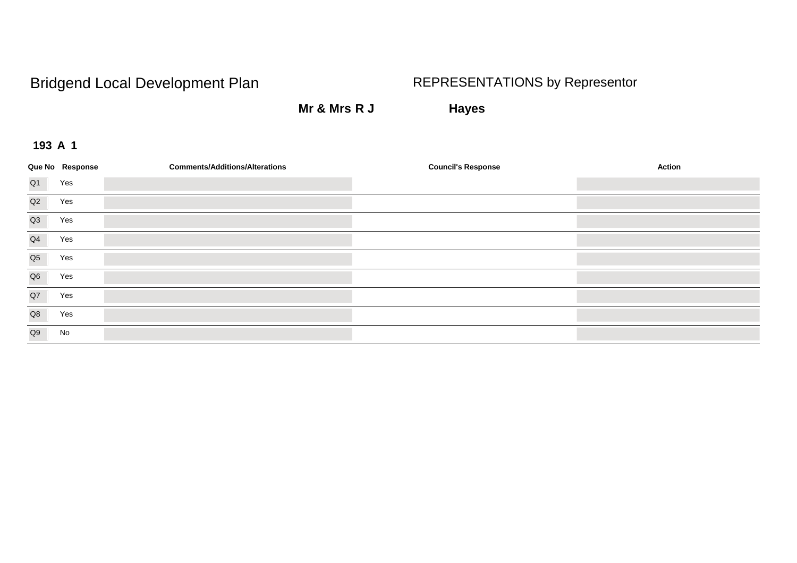**Mr & Mrs R J Hayes**

|                | Que No Response | <b>Comments/Additions/Alterations</b> | <b>Council's Response</b> | Action |
|----------------|-----------------|---------------------------------------|---------------------------|--------|
| Q <sub>1</sub> | Yes             |                                       |                           |        |
| Q2             | Yes             |                                       |                           |        |
| Q3             | Yes             |                                       |                           |        |
| Q4             | Yes             |                                       |                           |        |
| Q <sub>5</sub> | Yes             |                                       |                           |        |
| Q <sub>6</sub> | Yes             |                                       |                           |        |
| Q7             | Yes             |                                       |                           |        |
| Q8             | Yes             |                                       |                           |        |
| Q9             | No              |                                       |                           |        |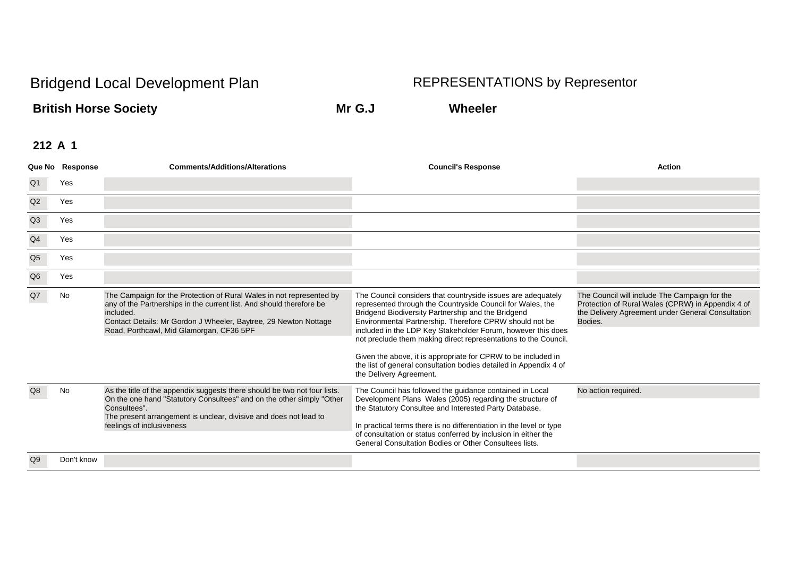**British Horse Society Mr G.J Wheeler**

|                | Que No Response | <b>Comments/Additions/Alterations</b>                                                                                                                                                                                                                                     | <b>Council's Response</b>                                                                                                                                                                                                                                                                                                                                                                                                                                                                                                                       | <b>Action</b>                                                                                                                                                      |
|----------------|-----------------|---------------------------------------------------------------------------------------------------------------------------------------------------------------------------------------------------------------------------------------------------------------------------|-------------------------------------------------------------------------------------------------------------------------------------------------------------------------------------------------------------------------------------------------------------------------------------------------------------------------------------------------------------------------------------------------------------------------------------------------------------------------------------------------------------------------------------------------|--------------------------------------------------------------------------------------------------------------------------------------------------------------------|
| Q1             | Yes             |                                                                                                                                                                                                                                                                           |                                                                                                                                                                                                                                                                                                                                                                                                                                                                                                                                                 |                                                                                                                                                                    |
| Q2             | Yes             |                                                                                                                                                                                                                                                                           |                                                                                                                                                                                                                                                                                                                                                                                                                                                                                                                                                 |                                                                                                                                                                    |
| Q3             | Yes             |                                                                                                                                                                                                                                                                           |                                                                                                                                                                                                                                                                                                                                                                                                                                                                                                                                                 |                                                                                                                                                                    |
| Q <sub>4</sub> | Yes             |                                                                                                                                                                                                                                                                           |                                                                                                                                                                                                                                                                                                                                                                                                                                                                                                                                                 |                                                                                                                                                                    |
| Q <sub>5</sub> | Yes             |                                                                                                                                                                                                                                                                           |                                                                                                                                                                                                                                                                                                                                                                                                                                                                                                                                                 |                                                                                                                                                                    |
| Q <sub>6</sub> | Yes             |                                                                                                                                                                                                                                                                           |                                                                                                                                                                                                                                                                                                                                                                                                                                                                                                                                                 |                                                                                                                                                                    |
| Q7             | No              | The Campaign for the Protection of Rural Wales in not represented by<br>any of the Partnerships in the current list. And should therefore be<br>included.<br>Contact Details: Mr Gordon J Wheeler, Baytree, 29 Newton Nottage<br>Road, Porthcawl, Mid Glamorgan, CF36 5PF | The Council considers that countryside issues are adequately<br>represented through the Countryside Council for Wales, the<br>Bridgend Biodiversity Partnership and the Bridgend<br>Environmental Partnership. Therefore CPRW should not be<br>included in the LDP Key Stakeholder Forum, however this does<br>not preclude them making direct representations to the Council.<br>Given the above, it is appropriate for CPRW to be included in<br>the list of general consultation bodies detailed in Appendix 4 of<br>the Delivery Agreement. | The Council will include The Campaign for the<br>Protection of Rural Wales (CPRW) in Appendix 4 of<br>the Delivery Agreement under General Consultation<br>Bodies. |
|                | No              | As the title of the appendix suggests there should be two not four lists.<br>On the one hand "Statutory Consultees" and on the other simply "Other<br>Consultees".<br>The present arrangement is unclear, divisive and does not lead to<br>feelings of inclusiveness      | The Council has followed the guidance contained in Local<br>Development Plans Wales (2005) regarding the structure of<br>the Statutory Consultee and Interested Party Database.<br>In practical terms there is no differentiation in the level or type<br>of consultation or status conferred by inclusion in either the<br>General Consultation Bodies or Other Consultees lists.                                                                                                                                                              | No action required.                                                                                                                                                |
| Q9             | Don't know      |                                                                                                                                                                                                                                                                           |                                                                                                                                                                                                                                                                                                                                                                                                                                                                                                                                                 |                                                                                                                                                                    |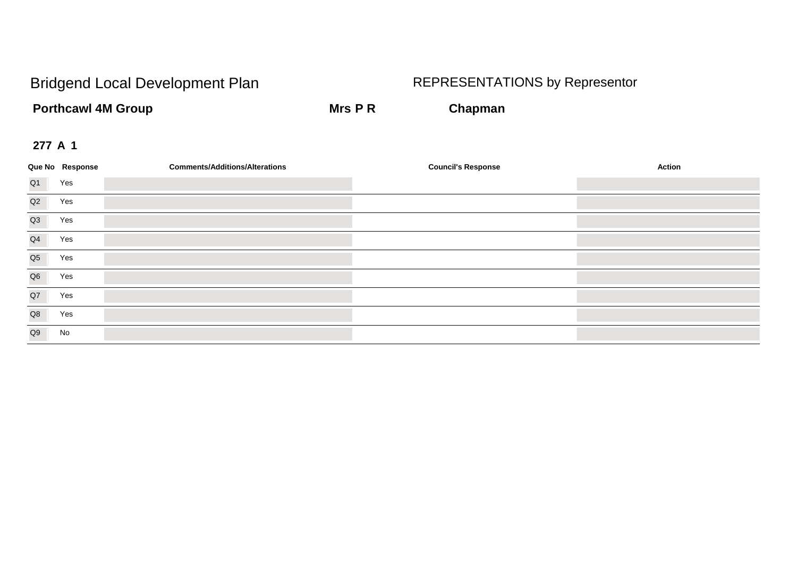**Porthcawl 4M Group Mrs P R Chapman** 

|                | Que No Response | <b>Comments/Additions/Alterations</b> | <b>Council's Response</b> | Action |
|----------------|-----------------|---------------------------------------|---------------------------|--------|
| Q <sub>1</sub> | Yes             |                                       |                           |        |
| Q2             | Yes             |                                       |                           |        |
| Q3             | Yes             |                                       |                           |        |
| Q4             | Yes             |                                       |                           |        |
| Q <sub>5</sub> | Yes             |                                       |                           |        |
| Q <sub>6</sub> | Yes             |                                       |                           |        |
| Q7             | Yes             |                                       |                           |        |
| Q8             | Yes             |                                       |                           |        |
| Q9             | No              |                                       |                           |        |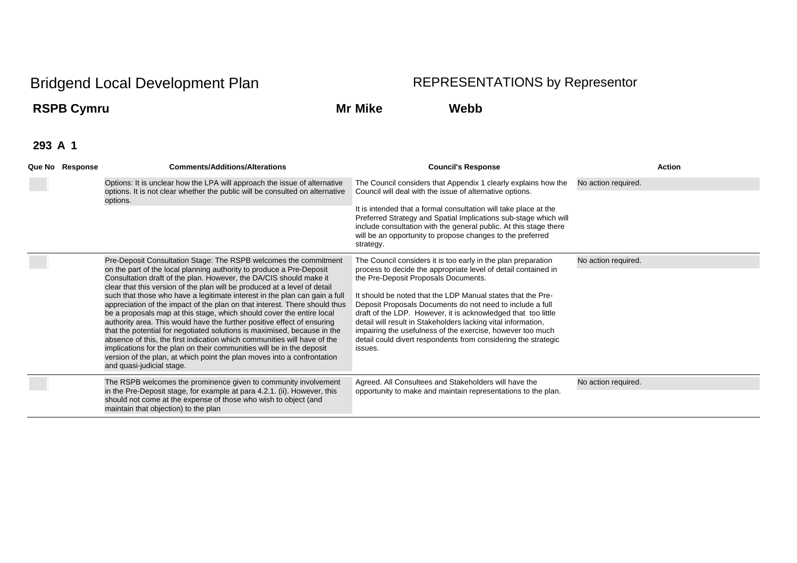## **RSPB Cymru Mr Mike Webb**

| Que No Response | <b>Comments/Additions/Alterations</b>                                                                                                                                                                                                                                                                                                                                                                                                                                                                                                                                                                                                                                                                                                                                                                                                                                                                                                                | <b>Council's Response</b>                                                                                                                                                                                                                                                                                                                                                                                                                                                                                                                                                        | <b>Action</b>       |
|-----------------|------------------------------------------------------------------------------------------------------------------------------------------------------------------------------------------------------------------------------------------------------------------------------------------------------------------------------------------------------------------------------------------------------------------------------------------------------------------------------------------------------------------------------------------------------------------------------------------------------------------------------------------------------------------------------------------------------------------------------------------------------------------------------------------------------------------------------------------------------------------------------------------------------------------------------------------------------|----------------------------------------------------------------------------------------------------------------------------------------------------------------------------------------------------------------------------------------------------------------------------------------------------------------------------------------------------------------------------------------------------------------------------------------------------------------------------------------------------------------------------------------------------------------------------------|---------------------|
|                 | Options: It is unclear how the LPA will approach the issue of alternative<br>options. It is not clear whether the public will be consulted on alternative<br>options.                                                                                                                                                                                                                                                                                                                                                                                                                                                                                                                                                                                                                                                                                                                                                                                | The Council considers that Appendix 1 clearly explains how the<br>Council will deal with the issue of alternative options.                                                                                                                                                                                                                                                                                                                                                                                                                                                       | No action required. |
|                 |                                                                                                                                                                                                                                                                                                                                                                                                                                                                                                                                                                                                                                                                                                                                                                                                                                                                                                                                                      | It is intended that a formal consultation will take place at the<br>Preferred Strategy and Spatial Implications sub-stage which will<br>include consultation with the general public. At this stage there<br>will be an opportunity to propose changes to the preferred<br>strategy.                                                                                                                                                                                                                                                                                             |                     |
|                 | Pre-Deposit Consultation Stage: The RSPB welcomes the commitment<br>on the part of the local planning authority to produce a Pre-Deposit<br>Consultation draft of the plan. However, the DA/CIS should make it<br>clear that this version of the plan will be produced at a level of detail<br>such that those who have a legitimate interest in the plan can gain a full<br>appreciation of the impact of the plan on that interest. There should thus<br>be a proposals map at this stage, which should cover the entire local<br>authority area. This would have the further positive effect of ensuring<br>that the potential for negotiated solutions is maximised, because in the<br>absence of this, the first indication which communities will have of the<br>implications for the plan on their communities will be in the deposit<br>version of the plan, at which point the plan moves into a confrontation<br>and quasi-judicial stage. | The Council considers it is too early in the plan preparation<br>process to decide the appropriate level of detail contained in<br>the Pre-Deposit Proposals Documents.<br>It should be noted that the LDP Manual states that the Pre-<br>Deposit Proposals Documents do not need to include a full<br>draft of the LDP. However, it is acknowledged that too little<br>detail will result in Stakeholders lacking vital information,<br>impairing the usefulness of the exercise, however too much<br>detail could divert respondents from considering the strategic<br>issues. | No action required. |
|                 | The RSPB welcomes the prominence given to community involvement<br>in the Pre-Deposit stage, for example at para 4.2.1. (ii). However, this<br>should not come at the expense of those who wish to object (and<br>maintain that objection) to the plan                                                                                                                                                                                                                                                                                                                                                                                                                                                                                                                                                                                                                                                                                               | Agreed. All Consultees and Stakeholders will have the<br>opportunity to make and maintain representations to the plan.                                                                                                                                                                                                                                                                                                                                                                                                                                                           | No action required. |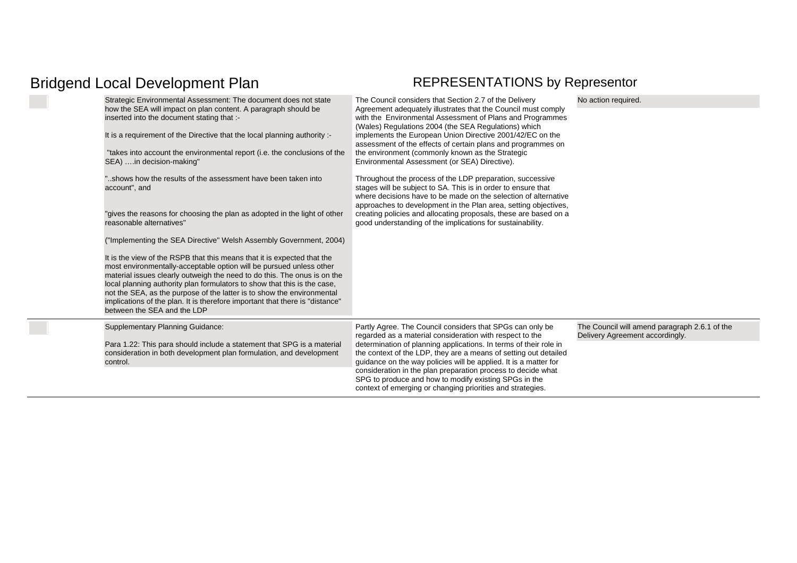| Strategic Environmental Assessment: The document does not state<br>how the SEA will impact on plan content. A paragraph should be<br>inserted into the document stating that :-<br>It is a requirement of the Directive that the local planning authority :-<br>"takes into account the environmental report (i.e. the conclusions of the<br>SEA) in decision-making"<br>'shows how the results of the assessment have been taken into<br>account", and<br>"gives the reasons for choosing the plan as adopted in the light of other<br>reasonable alternatives"<br>("Implementing the SEA Directive" Welsh Assembly Government, 2004)<br>It is the view of the RSPB that this means that it is expected that the<br>most environmentally-acceptable option will be pursued unless other<br>material issues clearly outweigh the need to do this. The onus is on the<br>local planning authority plan formulators to show that this is the case,<br>not the SEA, as the purpose of the latter is to show the environmental<br>implications of the plan. It is therefore important that there is "distance"<br>between the SEA and the LDP | The Council considers that Section 2.7 of the Delivery<br>Agreement adequately illustrates that the Council must comply<br>with the Environmental Assessment of Plans and Programmes<br>(Wales) Regulations 2004 (the SEA Regulations) which<br>implements the European Union Directive 2001/42/EC on the<br>assessment of the effects of certain plans and programmes on<br>the environment (commonly known as the Strategic<br>Environmental Assessment (or SEA) Directive).<br>Throughout the process of the LDP preparation, successive<br>stages will be subject to SA. This is in order to ensure that<br>where decisions have to be made on the selection of alternative<br>approaches to development in the Plan area, setting objectives,<br>creating policies and allocating proposals, these are based on a<br>good understanding of the implications for sustainability. | No action required.                                                              |
|-------------------------------------------------------------------------------------------------------------------------------------------------------------------------------------------------------------------------------------------------------------------------------------------------------------------------------------------------------------------------------------------------------------------------------------------------------------------------------------------------------------------------------------------------------------------------------------------------------------------------------------------------------------------------------------------------------------------------------------------------------------------------------------------------------------------------------------------------------------------------------------------------------------------------------------------------------------------------------------------------------------------------------------------------------------------------------------------------------------------------------------------|--------------------------------------------------------------------------------------------------------------------------------------------------------------------------------------------------------------------------------------------------------------------------------------------------------------------------------------------------------------------------------------------------------------------------------------------------------------------------------------------------------------------------------------------------------------------------------------------------------------------------------------------------------------------------------------------------------------------------------------------------------------------------------------------------------------------------------------------------------------------------------------|----------------------------------------------------------------------------------|
| <b>Supplementary Planning Guidance:</b><br>Para 1.22: This para should include a statement that SPG is a material<br>consideration in both development plan formulation, and development<br>control.                                                                                                                                                                                                                                                                                                                                                                                                                                                                                                                                                                                                                                                                                                                                                                                                                                                                                                                                      | Partly Agree. The Council considers that SPGs can only be<br>regarded as a material consideration with respect to the<br>determination of planning applications. In terms of their role in<br>the context of the LDP, they are a means of setting out detailed<br>quidance on the way policies will be applied. It is a matter for<br>consideration in the plan preparation process to decide what<br>SPG to produce and how to modify existing SPGs in the<br>context of emerging or changing priorities and strategies.                                                                                                                                                                                                                                                                                                                                                            | The Council will amend paragraph 2.6.1 of the<br>Delivery Agreement accordingly. |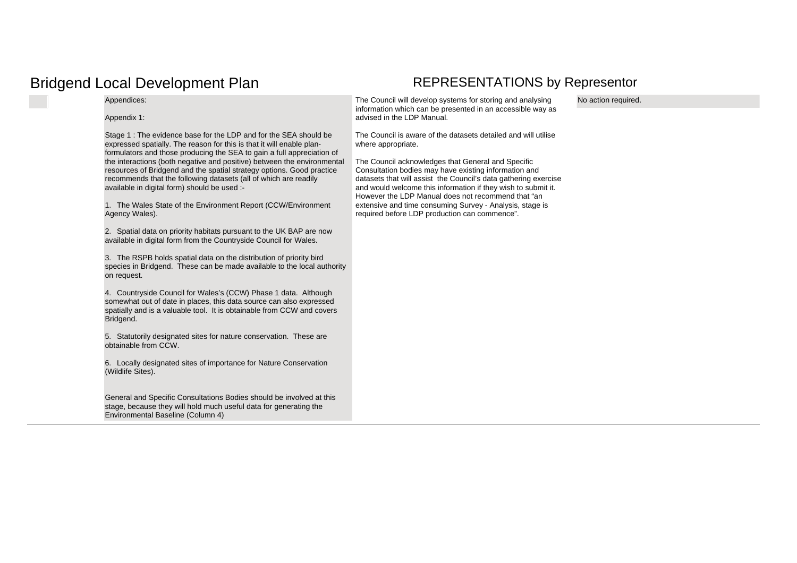Appendices:

Appendix 1:

Stage 1 : The evidence base for the LDP and for the SEA should be expressed spatially. The reason for this is that it will enable planformulators and those producing the SEA to gain a full appreciation of the interactions (both negative and positive) between the environmental resources of Bridgend and the spatial strategy options. Good practice recommends that the following datasets (all of which are readily available in digital form) should be used :-

1.The Wales State of the Environment Report (CCW/Environment Agency Wales).

2. Spatial data on priority habitats pursuant to the UK BAP are now available in digital form from the Countryside Council for Wales.

3.The RSPB holds spatial data on the distribution of priority bird species in Bridgend. These can be made available to the local authority on request.

4.Countryside Council for Wales's (CCW) Phase 1 data. Although somewhat out of date in places, this data source can also expressed spatially and is a valuable tool. It is obtainable from CCW and covers Bridgend.

5. Statutorily designated sites for nature conservation. These are obtainable from CCW.

6.Locally designated sites of importance for Nature Conservation (Wildlife Sites).

General and Specific Consultations Bodies should be involved at this stage, because they will hold much useful data for generating the Environmental Baseline (Column 4)

The Council will develop systems for storing and analysing information which can be presented in an accessible way as advised in the LDP Manual.

The Council is aware of the datasets detailed and will utilise where appropriate.

The Council acknowledges that General and Specific Consultation bodies may have existing information and datasets that will assist the Council's data gathering exercise and would welcome this information if they wish to submit it. However the LDP Manual does not recommend that "an extensive and time consuming Survey - Analysis, stage is required before LDP production can commence".

No action required.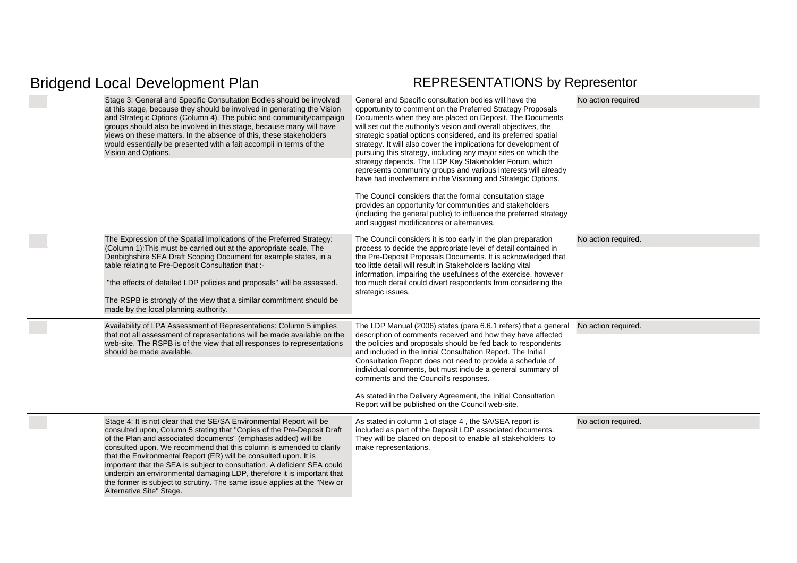| Stage 3: General and Specific Consultation Bodies should be involved<br>at this stage, because they should be involved in generating the Vision<br>and Strategic Options (Column 4). The public and community/campaign<br>groups should also be involved in this stage, because many will have<br>views on these matters. In the absence of this, these stakeholders<br>would essentially be presented with a fait accompli in terms of the<br>Vision and Options.                                                                                                                                                        | General and Specific consultation bodies will have the<br>opportunity to comment on the Preferred Strategy Proposals<br>Documents when they are placed on Deposit. The Documents<br>will set out the authority's vision and overall objectives, the<br>strategic spatial options considered, and its preferred spatial<br>strategy. It will also cover the implications for development of<br>pursuing this strategy, including any major sites on which the<br>strategy depends. The LDP Key Stakeholder Forum, which<br>represents community groups and various interests will already<br>have had involvement in the Visioning and Strategic Options.<br>The Council considers that the formal consultation stage<br>provides an opportunity for communities and stakeholders<br>(including the general public) to influence the preferred strategy<br>and suggest modifications or alternatives. | No action required  |
|---------------------------------------------------------------------------------------------------------------------------------------------------------------------------------------------------------------------------------------------------------------------------------------------------------------------------------------------------------------------------------------------------------------------------------------------------------------------------------------------------------------------------------------------------------------------------------------------------------------------------|------------------------------------------------------------------------------------------------------------------------------------------------------------------------------------------------------------------------------------------------------------------------------------------------------------------------------------------------------------------------------------------------------------------------------------------------------------------------------------------------------------------------------------------------------------------------------------------------------------------------------------------------------------------------------------------------------------------------------------------------------------------------------------------------------------------------------------------------------------------------------------------------------|---------------------|
| The Expression of the Spatial Implications of the Preferred Strategy:<br>(Column 1): This must be carried out at the appropriate scale. The<br>Denbighshire SEA Draft Scoping Document for example states, in a<br>table relating to Pre-Deposit Consultation that :-<br>"the effects of detailed LDP policies and proposals" will be assessed.<br>The RSPB is strongly of the view that a similar commitment should be<br>made by the local planning authority.                                                                                                                                                          | The Council considers it is too early in the plan preparation<br>process to decide the appropriate level of detail contained in<br>the Pre-Deposit Proposals Documents. It is acknowledged that<br>too little detail will result in Stakeholders lacking vital<br>information, impairing the usefulness of the exercise, however<br>too much detail could divert respondents from considering the<br>strategic issues.                                                                                                                                                                                                                                                                                                                                                                                                                                                                               | No action required. |
| Availability of LPA Assessment of Representations: Column 5 implies<br>that not all assessment of representations will be made available on the<br>web-site. The RSPB is of the view that all responses to representations<br>should be made available.                                                                                                                                                                                                                                                                                                                                                                   | The LDP Manual (2006) states (para 6.6.1 refers) that a general<br>description of comments received and how they have affected<br>the policies and proposals should be fed back to respondents<br>and included in the Initial Consultation Report. The Initial<br>Consultation Report does not need to provide a schedule of<br>individual comments, but must include a general summary of<br>comments and the Council's responses.<br>As stated in the Delivery Agreement, the Initial Consultation<br>Report will be published on the Council web-site.                                                                                                                                                                                                                                                                                                                                            | No action required. |
| Stage 4: It is not clear that the SE/SA Environmental Report will be<br>consulted upon, Column 5 stating that "Copies of the Pre-Deposit Draft<br>of the Plan and associated documents" (emphasis added) will be<br>consulted upon. We recommend that this column is amended to clarify<br>that the Environmental Report (ER) will be consulted upon. It is<br>important that the SEA is subject to consultation. A deficient SEA could<br>underpin an environmental damaging LDP, therefore it is important that<br>the former is subject to scrutiny. The same issue applies at the "New or<br>Alternative Site" Stage. | As stated in column 1 of stage 4, the SA/SEA report is<br>included as part of the Deposit LDP associated documents.<br>They will be placed on deposit to enable all stakeholders to<br>make representations.                                                                                                                                                                                                                                                                                                                                                                                                                                                                                                                                                                                                                                                                                         | No action required. |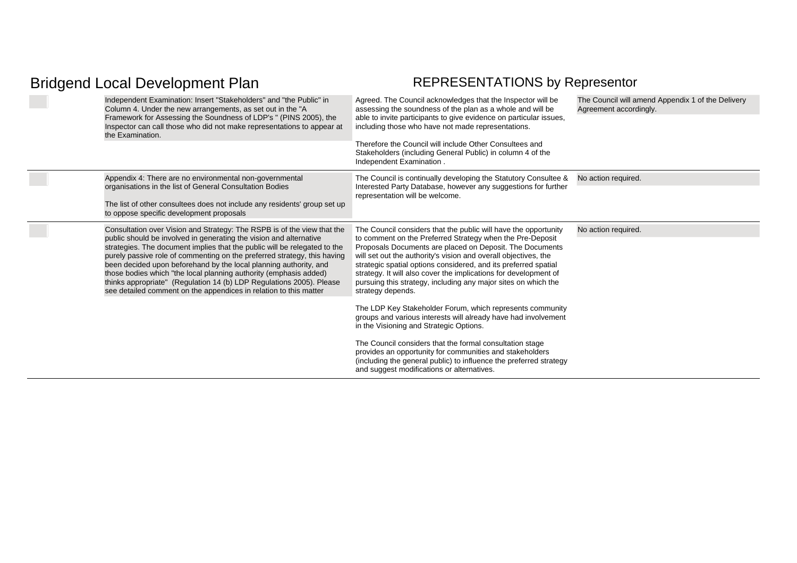| Independent Examination: Insert "Stakeholders" and "the Public" in<br>Column 4. Under the new arrangements, as set out in the "A<br>Framework for Assessing the Soundness of LDP's " (PINS 2005), the<br>Inspector can call those who did not make representations to appear at<br>the Examination.                                                                                                                                                                                                                                                                                           | Agreed. The Council acknowledges that the Inspector will be<br>assessing the soundness of the plan as a whole and will be<br>able to invite participants to give evidence on particular issues,<br>including those who have not made representations.<br>Therefore the Council will include Other Consultees and<br>Stakeholders (including General Public) in column 4 of the<br>Independent Examination.                                                                                | The Council will amend Appendix 1 of the Delivery<br>Agreement accordingly. |
|-----------------------------------------------------------------------------------------------------------------------------------------------------------------------------------------------------------------------------------------------------------------------------------------------------------------------------------------------------------------------------------------------------------------------------------------------------------------------------------------------------------------------------------------------------------------------------------------------|-------------------------------------------------------------------------------------------------------------------------------------------------------------------------------------------------------------------------------------------------------------------------------------------------------------------------------------------------------------------------------------------------------------------------------------------------------------------------------------------|-----------------------------------------------------------------------------|
| Appendix 4: There are no environmental non-governmental<br>organisations in the list of General Consultation Bodies                                                                                                                                                                                                                                                                                                                                                                                                                                                                           | The Council is continually developing the Statutory Consultee &<br>Interested Party Database, however any suggestions for further                                                                                                                                                                                                                                                                                                                                                         | No action required.                                                         |
| The list of other consultees does not include any residents' group set up<br>to oppose specific development proposals                                                                                                                                                                                                                                                                                                                                                                                                                                                                         | representation will be welcome.                                                                                                                                                                                                                                                                                                                                                                                                                                                           |                                                                             |
| Consultation over Vision and Strategy: The RSPB is of the view that the<br>public should be involved in generating the vision and alternative<br>strategies. The document implies that the public will be relegated to the<br>purely passive role of commenting on the preferred strategy, this having<br>been decided upon beforehand by the local planning authority, and<br>those bodies which "the local planning authority (emphasis added)<br>thinks appropriate" (Regulation 14 (b) LDP Regulations 2005). Please<br>see detailed comment on the appendices in relation to this matter | The Council considers that the public will have the opportunity<br>to comment on the Preferred Strategy when the Pre-Deposit<br>Proposals Documents are placed on Deposit. The Documents<br>will set out the authority's vision and overall objectives, the<br>strategic spatial options considered, and its preferred spatial<br>strategy. It will also cover the implications for development of<br>pursuing this strategy, including any major sites on which the<br>strategy depends. | No action required.                                                         |
|                                                                                                                                                                                                                                                                                                                                                                                                                                                                                                                                                                                               | The LDP Key Stakeholder Forum, which represents community<br>groups and various interests will already have had involvement<br>in the Visioning and Strategic Options.                                                                                                                                                                                                                                                                                                                    |                                                                             |
|                                                                                                                                                                                                                                                                                                                                                                                                                                                                                                                                                                                               | The Council considers that the formal consultation stage<br>provides an opportunity for communities and stakeholders<br>(including the general public) to influence the preferred strategy<br>and suggest modifications or alternatives.                                                                                                                                                                                                                                                  |                                                                             |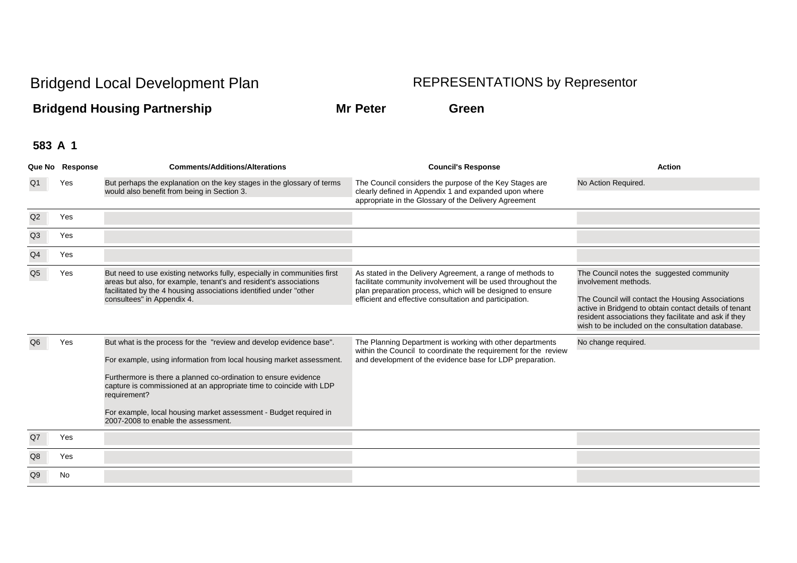**Bridgend Housing Partnership Mr Peter Green** 

|                | Que No Response | <b>Comments/Additions/Alterations</b>                                                                                                                                                                                                                                                                                                                                                                             | <b>Council's Response</b>                                                                                                                                                                                                                           | <b>Action</b>                                                                                                                                                                                                                                                                                  |
|----------------|-----------------|-------------------------------------------------------------------------------------------------------------------------------------------------------------------------------------------------------------------------------------------------------------------------------------------------------------------------------------------------------------------------------------------------------------------|-----------------------------------------------------------------------------------------------------------------------------------------------------------------------------------------------------------------------------------------------------|------------------------------------------------------------------------------------------------------------------------------------------------------------------------------------------------------------------------------------------------------------------------------------------------|
|                | Yes             | But perhaps the explanation on the key stages in the glossary of terms<br>would also benefit from being in Section 3.                                                                                                                                                                                                                                                                                             | The Council considers the purpose of the Key Stages are<br>clearly defined in Appendix 1 and expanded upon where<br>appropriate in the Glossary of the Delivery Agreement                                                                           | No Action Required.                                                                                                                                                                                                                                                                            |
| Q2             | Yes             |                                                                                                                                                                                                                                                                                                                                                                                                                   |                                                                                                                                                                                                                                                     |                                                                                                                                                                                                                                                                                                |
| Q3             | Yes             |                                                                                                                                                                                                                                                                                                                                                                                                                   |                                                                                                                                                                                                                                                     |                                                                                                                                                                                                                                                                                                |
| Q <sub>4</sub> | Yes             |                                                                                                                                                                                                                                                                                                                                                                                                                   |                                                                                                                                                                                                                                                     |                                                                                                                                                                                                                                                                                                |
| Q <sub>5</sub> | Yes             | But need to use existing networks fully, especially in communities first<br>areas but also, for example, tenant's and resident's associations<br>facilitated by the 4 housing associations identified under "other<br>consultees" in Appendix 4.                                                                                                                                                                  | As stated in the Delivery Agreement, a range of methods to<br>facilitate community involvement will be used throughout the<br>plan preparation process, which will be designed to ensure<br>efficient and effective consultation and participation. | The Council notes the suggested community<br>involvement methods.<br>The Council will contact the Housing Associations<br>active in Bridgend to obtain contact details of tenant<br>resident associations they facilitate and ask if they<br>wish to be included on the consultation database. |
|                | Yes             | But what is the process for the "review and develop evidence base".<br>For example, using information from local housing market assessment.<br>Furthermore is there a planned co-ordination to ensure evidence<br>capture is commissioned at an appropriate time to coincide with LDP<br>requirement?<br>For example, local housing market assessment - Budget required in<br>2007-2008 to enable the assessment. | The Planning Department is working with other departments<br>within the Council to coordinate the requirement for the review<br>and development of the evidence base for LDP preparation.                                                           | No change required.                                                                                                                                                                                                                                                                            |
| Q7             | Yes             |                                                                                                                                                                                                                                                                                                                                                                                                                   |                                                                                                                                                                                                                                                     |                                                                                                                                                                                                                                                                                                |
| Q8             | Yes             |                                                                                                                                                                                                                                                                                                                                                                                                                   |                                                                                                                                                                                                                                                     |                                                                                                                                                                                                                                                                                                |
| Q9             | No              |                                                                                                                                                                                                                                                                                                                                                                                                                   |                                                                                                                                                                                                                                                     |                                                                                                                                                                                                                                                                                                |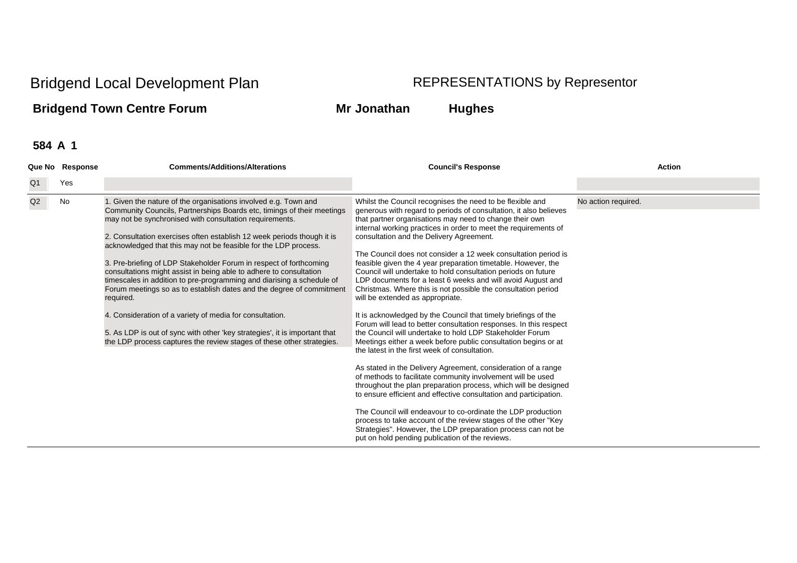## **Bridgend Town Centre Forum Mr Jonathan Hughes**

|                | Que No Response | <b>Comments/Additions/Alterations</b>                                                                                                                                                                                                                                                                                                                                                                                                                                                                                                                                                                                                                                                                                                                                                                                                                                          | <b>Council's Response</b>                                                                                                                                                                                                                                                                                                                                                                                                                                                                                                                                                                                                                                                                                                                                                                                                                                                                                                                                                                                                                                                                                                                                                                                                                                                                                                                                                                                                                                                                                                           | <b>Action</b>       |
|----------------|-----------------|--------------------------------------------------------------------------------------------------------------------------------------------------------------------------------------------------------------------------------------------------------------------------------------------------------------------------------------------------------------------------------------------------------------------------------------------------------------------------------------------------------------------------------------------------------------------------------------------------------------------------------------------------------------------------------------------------------------------------------------------------------------------------------------------------------------------------------------------------------------------------------|-------------------------------------------------------------------------------------------------------------------------------------------------------------------------------------------------------------------------------------------------------------------------------------------------------------------------------------------------------------------------------------------------------------------------------------------------------------------------------------------------------------------------------------------------------------------------------------------------------------------------------------------------------------------------------------------------------------------------------------------------------------------------------------------------------------------------------------------------------------------------------------------------------------------------------------------------------------------------------------------------------------------------------------------------------------------------------------------------------------------------------------------------------------------------------------------------------------------------------------------------------------------------------------------------------------------------------------------------------------------------------------------------------------------------------------------------------------------------------------------------------------------------------------|---------------------|
| Q <sub>1</sub> | Yes             |                                                                                                                                                                                                                                                                                                                                                                                                                                                                                                                                                                                                                                                                                                                                                                                                                                                                                |                                                                                                                                                                                                                                                                                                                                                                                                                                                                                                                                                                                                                                                                                                                                                                                                                                                                                                                                                                                                                                                                                                                                                                                                                                                                                                                                                                                                                                                                                                                                     |                     |
| Q2             | No              | 1. Given the nature of the organisations involved e.g. Town and<br>Community Councils, Partnerships Boards etc, timings of their meetings<br>may not be synchronised with consultation requirements.<br>2. Consultation exercises often establish 12 week periods though it is<br>acknowledged that this may not be feasible for the LDP process.<br>3. Pre-briefing of LDP Stakeholder Forum in respect of forthcoming<br>consultations might assist in being able to adhere to consultation<br>timescales in addition to pre-programming and diarising a schedule of<br>Forum meetings so as to establish dates and the degree of commitment<br>required.<br>4. Consideration of a variety of media for consultation.<br>5. As LDP is out of sync with other 'key strategies', it is important that<br>the LDP process captures the review stages of these other strategies. | Whilst the Council recognises the need to be flexible and<br>generous with regard to periods of consultation, it also believes<br>that partner organisations may need to change their own<br>internal working practices in order to meet the requirements of<br>consultation and the Delivery Agreement.<br>The Council does not consider a 12 week consultation period is<br>feasible given the 4 year preparation timetable. However, the<br>Council will undertake to hold consultation periods on future<br>LDP documents for a least 6 weeks and will avoid August and<br>Christmas. Where this is not possible the consultation period<br>will be extended as appropriate.<br>It is acknowledged by the Council that timely briefings of the<br>Forum will lead to better consultation responses. In this respect<br>the Council will undertake to hold LDP Stakeholder Forum<br>Meetings either a week before public consultation begins or at<br>the latest in the first week of consultation.<br>As stated in the Delivery Agreement, consideration of a range<br>of methods to facilitate community involvement will be used<br>throughout the plan preparation process, which will be designed<br>to ensure efficient and effective consultation and participation.<br>The Council will endeavour to co-ordinate the LDP production<br>process to take account of the review stages of the other "Key<br>Strategies". However, the LDP preparation process can not be<br>put on hold pending publication of the reviews. | No action required. |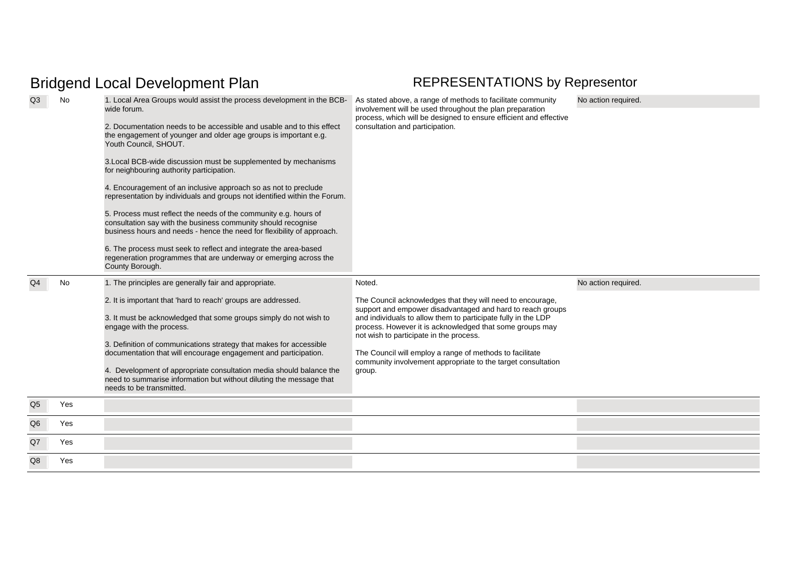| Q <sub>3</sub> | No  | 1. Local Area Groups would assist the process development in the BCB-<br>wide forum.<br>2. Documentation needs to be accessible and usable and to this effect<br>the engagement of younger and older age groups is important e.g.<br>Youth Council, SHOUT.<br>3. Local BCB-wide discussion must be supplemented by mechanisms<br>for neighbouring authority participation.<br>4. Encouragement of an inclusive approach so as not to preclude<br>representation by individuals and groups not identified within the Forum.<br>5. Process must reflect the needs of the community e.g. hours of<br>consultation say with the business community should recognise<br>business hours and needs - hence the need for flexibility of approach.<br>6. The process must seek to reflect and integrate the area-based<br>regeneration programmes that are underway or emerging across the<br>County Borough. | As stated above, a range of methods to facilitate community<br>involvement will be used throughout the plan preparation<br>process, which will be designed to ensure efficient and effective<br>consultation and participation.                                                                                                                                                                                                                  | No action required. |
|----------------|-----|------------------------------------------------------------------------------------------------------------------------------------------------------------------------------------------------------------------------------------------------------------------------------------------------------------------------------------------------------------------------------------------------------------------------------------------------------------------------------------------------------------------------------------------------------------------------------------------------------------------------------------------------------------------------------------------------------------------------------------------------------------------------------------------------------------------------------------------------------------------------------------------------------|--------------------------------------------------------------------------------------------------------------------------------------------------------------------------------------------------------------------------------------------------------------------------------------------------------------------------------------------------------------------------------------------------------------------------------------------------|---------------------|
| Q <sub>4</sub> | No  | 1. The principles are generally fair and appropriate.<br>2. It is important that 'hard to reach' groups are addressed.<br>3. It must be acknowledged that some groups simply do not wish to<br>engage with the process.<br>3. Definition of communications strategy that makes for accessible<br>documentation that will encourage engagement and participation.<br>4. Development of appropriate consultation media should balance the<br>need to summarise information but without diluting the message that<br>needs to be transmitted.                                                                                                                                                                                                                                                                                                                                                           | Noted.<br>The Council acknowledges that they will need to encourage,<br>support and empower disadvantaged and hard to reach groups<br>and individuals to allow them to participate fully in the LDP<br>process. However it is acknowledged that some groups may<br>not wish to participate in the process.<br>The Council will employ a range of methods to facilitate<br>community involvement appropriate to the target consultation<br>group. | No action required. |
| Q <sub>5</sub> | Yes |                                                                                                                                                                                                                                                                                                                                                                                                                                                                                                                                                                                                                                                                                                                                                                                                                                                                                                      |                                                                                                                                                                                                                                                                                                                                                                                                                                                  |                     |
| Q <sub>6</sub> | Yes |                                                                                                                                                                                                                                                                                                                                                                                                                                                                                                                                                                                                                                                                                                                                                                                                                                                                                                      |                                                                                                                                                                                                                                                                                                                                                                                                                                                  |                     |
| Q7             | Yes |                                                                                                                                                                                                                                                                                                                                                                                                                                                                                                                                                                                                                                                                                                                                                                                                                                                                                                      |                                                                                                                                                                                                                                                                                                                                                                                                                                                  |                     |
| Q8             | Yes |                                                                                                                                                                                                                                                                                                                                                                                                                                                                                                                                                                                                                                                                                                                                                                                                                                                                                                      |                                                                                                                                                                                                                                                                                                                                                                                                                                                  |                     |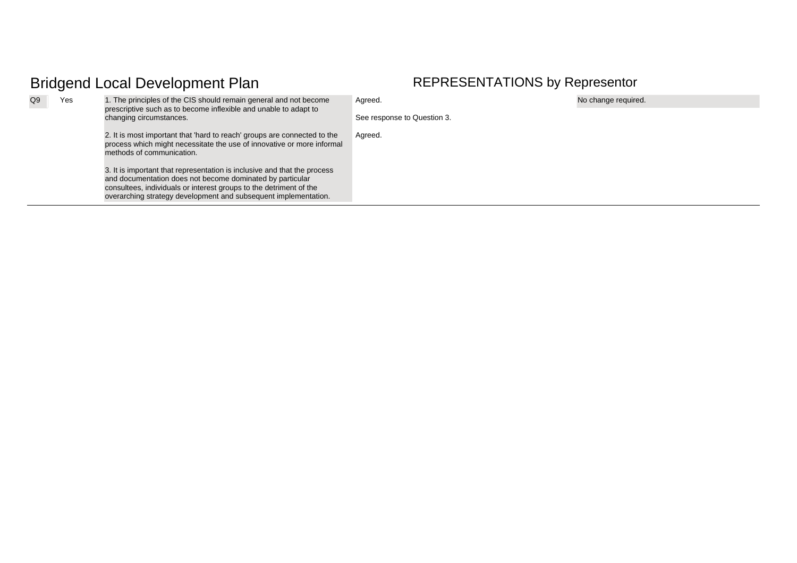| Q9 | Yes | 1. The principles of the CIS should remain general and not become<br>prescriptive such as to become inflexible and unable to adapt to<br>changing circumstances.                                                                                                               | Agreed.                     | No change required. |
|----|-----|--------------------------------------------------------------------------------------------------------------------------------------------------------------------------------------------------------------------------------------------------------------------------------|-----------------------------|---------------------|
|    |     |                                                                                                                                                                                                                                                                                | See response to Question 3. |                     |
|    |     | 2. It is most important that 'hard to reach' groups are connected to the<br>process which might necessitate the use of innovative or more informal<br>methods of communication.                                                                                                | Agreed.                     |                     |
|    |     | 3. It is important that representation is inclusive and that the process<br>and documentation does not become dominated by particular<br>consultees, individuals or interest groups to the detriment of the<br>overarching strategy development and subsequent implementation. |                             |                     |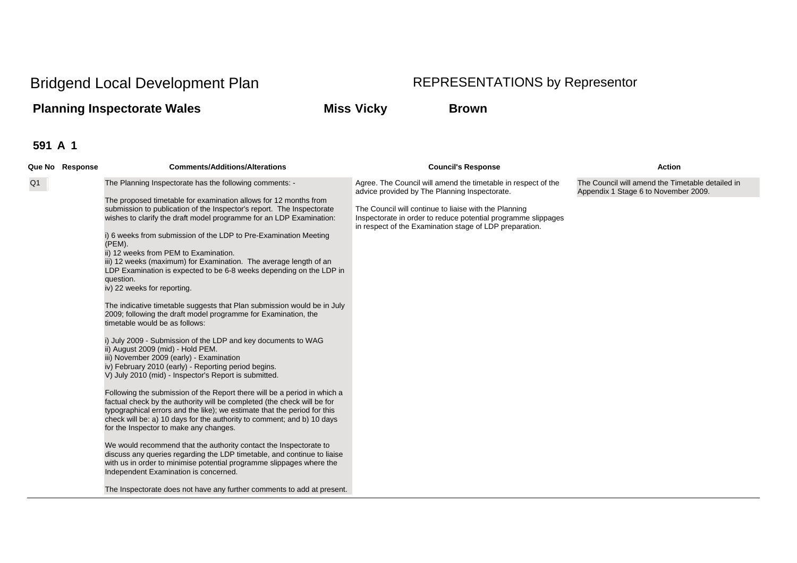## **Planning Inspectorate Wales Miss Vicky Brown**

|    | Que No Response | <b>Comments/Additions/Alterations</b>                                                                                                                                                                                                                                                                                                                                                                                                                                                                                                                                                                                                                                                                                                                                                                                                                                                                                                                                                                                                                                 | <b>Council's Response</b>                                                                                                                                                                                                                                                                           | <b>Action</b>                                                                            |
|----|-----------------|-----------------------------------------------------------------------------------------------------------------------------------------------------------------------------------------------------------------------------------------------------------------------------------------------------------------------------------------------------------------------------------------------------------------------------------------------------------------------------------------------------------------------------------------------------------------------------------------------------------------------------------------------------------------------------------------------------------------------------------------------------------------------------------------------------------------------------------------------------------------------------------------------------------------------------------------------------------------------------------------------------------------------------------------------------------------------|-----------------------------------------------------------------------------------------------------------------------------------------------------------------------------------------------------------------------------------------------------------------------------------------------------|------------------------------------------------------------------------------------------|
| Q1 |                 | The Planning Inspectorate has the following comments: -<br>The proposed timetable for examination allows for 12 months from<br>submission to publication of the Inspector's report. The Inspectorate<br>wishes to clarify the draft model programme for an LDP Examination:<br>i) 6 weeks from submission of the LDP to Pre-Examination Meeting<br>(PEM).<br>ii) 12 weeks from PEM to Examination.<br>iii) 12 weeks (maximum) for Examination. The average length of an<br>LDP Examination is expected to be 6-8 weeks depending on the LDP in<br>question.<br>iv) 22 weeks for reporting.<br>The indicative timetable suggests that Plan submission would be in July                                                                                                                                                                                                                                                                                                                                                                                                 | Agree. The Council will amend the timetable in respect of the<br>advice provided by The Planning Inspectorate.<br>The Council will continue to liaise with the Planning<br>Inspectorate in order to reduce potential programme slippages<br>in respect of the Examination stage of LDP preparation. | The Council will amend the Timetable detailed in<br>Appendix 1 Stage 6 to November 2009. |
|    |                 | 2009; following the draft model programme for Examination, the<br>timetable would be as follows:<br>i) July 2009 - Submission of the LDP and key documents to WAG<br>ii) August 2009 (mid) - Hold PEM.<br>iii) November 2009 (early) - Examination<br>iv) February 2010 (early) - Reporting period begins.<br>V) July 2010 (mid) - Inspector's Report is submitted.<br>Following the submission of the Report there will be a period in which a<br>factual check by the authority will be completed (the check will be for<br>typographical errors and the like); we estimate that the period for this<br>check will be: a) 10 days for the authority to comment; and b) 10 days<br>for the Inspector to make any changes.<br>We would recommend that the authority contact the Inspectorate to<br>discuss any queries regarding the LDP timetable, and continue to liaise<br>with us in order to minimise potential programme slippages where the<br>Independent Examination is concerned.<br>The Inspectorate does not have any further comments to add at present. |                                                                                                                                                                                                                                                                                                     |                                                                                          |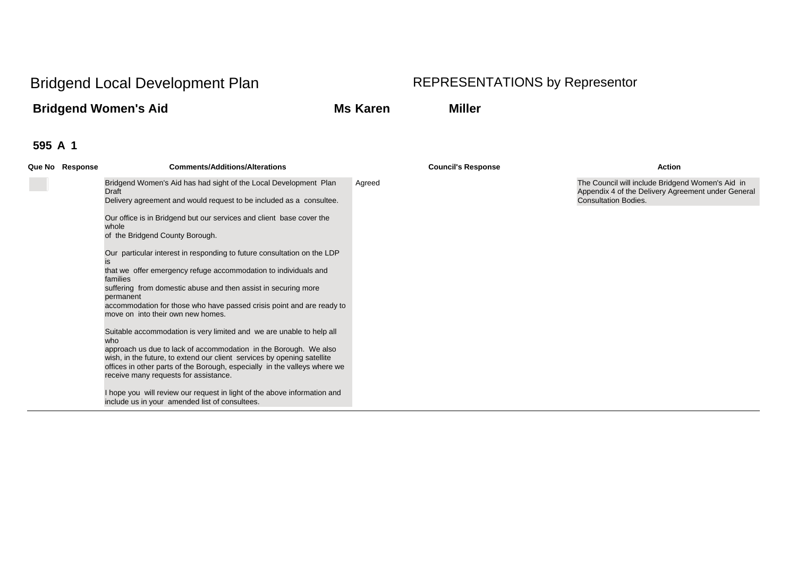## **Bridgend Women's Aid Ms Karen Miller**

| Bridgend Women's Aid has had sight of the Local Development Plan<br>The Council will include Bridgend Women's Aid in<br>Agreed<br>Appendix 4 of the Delivery Agreement under General<br>Draft<br>Delivery agreement and would request to be included as a consultee.<br><b>Consultation Bodies.</b><br>Our office is in Bridgend but our services and client base cover the<br>whole<br>of the Bridgend County Borough.<br>Our particular interest in responding to future consultation on the LDP<br>that we offer emergency refuge accommodation to individuals and<br>families<br>suffering from domestic abuse and then assist in securing more<br>permanent<br>accommodation for those who have passed crisis point and are ready to<br>move on into their own new homes.<br>Suitable accommodation is very limited and we are unable to help all<br>who<br>approach us due to lack of accommodation in the Borough. We also<br>wish, in the future, to extend our client services by opening satellite<br>offices in other parts of the Borough, especially in the valleys where we<br>receive many requests for assistance.<br>I hope you will review our request in light of the above information and<br>include us in your amended list of consultees. | Que No Response | <b>Comments/Additions/Alterations</b> | <b>Council's Response</b> | <b>Action</b> |
|------------------------------------------------------------------------------------------------------------------------------------------------------------------------------------------------------------------------------------------------------------------------------------------------------------------------------------------------------------------------------------------------------------------------------------------------------------------------------------------------------------------------------------------------------------------------------------------------------------------------------------------------------------------------------------------------------------------------------------------------------------------------------------------------------------------------------------------------------------------------------------------------------------------------------------------------------------------------------------------------------------------------------------------------------------------------------------------------------------------------------------------------------------------------------------------------------------------------------------------------------------------|-----------------|---------------------------------------|---------------------------|---------------|
|                                                                                                                                                                                                                                                                                                                                                                                                                                                                                                                                                                                                                                                                                                                                                                                                                                                                                                                                                                                                                                                                                                                                                                                                                                                                  |                 |                                       |                           |               |
|                                                                                                                                                                                                                                                                                                                                                                                                                                                                                                                                                                                                                                                                                                                                                                                                                                                                                                                                                                                                                                                                                                                                                                                                                                                                  |                 |                                       |                           |               |
|                                                                                                                                                                                                                                                                                                                                                                                                                                                                                                                                                                                                                                                                                                                                                                                                                                                                                                                                                                                                                                                                                                                                                                                                                                                                  |                 |                                       |                           |               |
|                                                                                                                                                                                                                                                                                                                                                                                                                                                                                                                                                                                                                                                                                                                                                                                                                                                                                                                                                                                                                                                                                                                                                                                                                                                                  |                 |                                       |                           |               |
|                                                                                                                                                                                                                                                                                                                                                                                                                                                                                                                                                                                                                                                                                                                                                                                                                                                                                                                                                                                                                                                                                                                                                                                                                                                                  |                 |                                       |                           |               |
|                                                                                                                                                                                                                                                                                                                                                                                                                                                                                                                                                                                                                                                                                                                                                                                                                                                                                                                                                                                                                                                                                                                                                                                                                                                                  |                 |                                       |                           |               |
|                                                                                                                                                                                                                                                                                                                                                                                                                                                                                                                                                                                                                                                                                                                                                                                                                                                                                                                                                                                                                                                                                                                                                                                                                                                                  |                 |                                       |                           |               |
|                                                                                                                                                                                                                                                                                                                                                                                                                                                                                                                                                                                                                                                                                                                                                                                                                                                                                                                                                                                                                                                                                                                                                                                                                                                                  |                 |                                       |                           |               |
|                                                                                                                                                                                                                                                                                                                                                                                                                                                                                                                                                                                                                                                                                                                                                                                                                                                                                                                                                                                                                                                                                                                                                                                                                                                                  |                 |                                       |                           |               |
|                                                                                                                                                                                                                                                                                                                                                                                                                                                                                                                                                                                                                                                                                                                                                                                                                                                                                                                                                                                                                                                                                                                                                                                                                                                                  |                 |                                       |                           |               |
|                                                                                                                                                                                                                                                                                                                                                                                                                                                                                                                                                                                                                                                                                                                                                                                                                                                                                                                                                                                                                                                                                                                                                                                                                                                                  |                 |                                       |                           |               |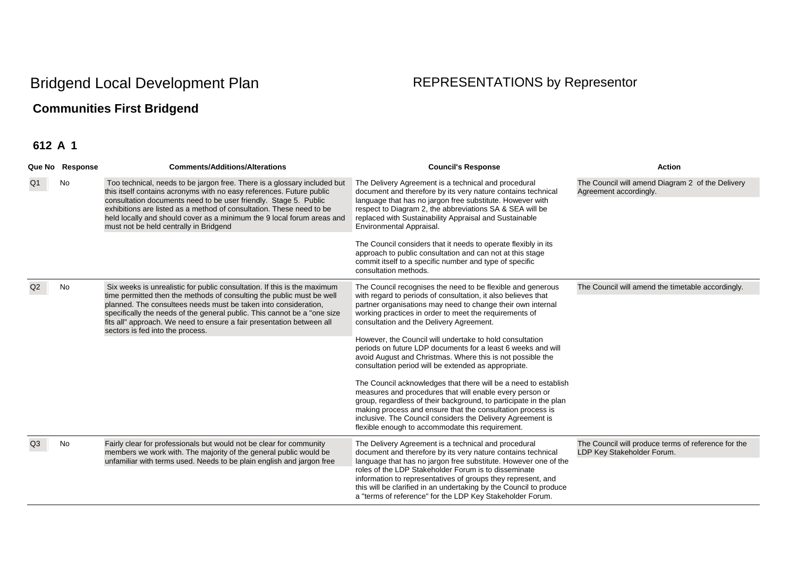## **Communities First Bridgend**

| Que No Response | <b>Comments/Additions/Alterations</b>                                                                                                                                                                                                                                                                                                                                                                            | <b>Council's Response</b>                                                                                                                                                                                                                                                                                                                                                                                                                                                                                                                                                                                                                                                                                                                                                                                                                                                                                                               | <b>Action</b>                                                                     |
|-----------------|------------------------------------------------------------------------------------------------------------------------------------------------------------------------------------------------------------------------------------------------------------------------------------------------------------------------------------------------------------------------------------------------------------------|-----------------------------------------------------------------------------------------------------------------------------------------------------------------------------------------------------------------------------------------------------------------------------------------------------------------------------------------------------------------------------------------------------------------------------------------------------------------------------------------------------------------------------------------------------------------------------------------------------------------------------------------------------------------------------------------------------------------------------------------------------------------------------------------------------------------------------------------------------------------------------------------------------------------------------------------|-----------------------------------------------------------------------------------|
| No              | Too technical, needs to be jargon free. There is a glossary included but<br>this itself contains acronyms with no easy references. Future public<br>consultation documents need to be user friendly. Stage 5. Public<br>exhibitions are listed as a method of consultation. These need to be<br>held locally and should cover as a minimum the 9 local forum areas and<br>must not be held centrally in Bridgend | The Delivery Agreement is a technical and procedural<br>document and therefore by its very nature contains technical<br>language that has no jargon free substitute. However with<br>respect to Diagram 2, the abbreviations SA & SEA will be<br>replaced with Sustainability Appraisal and Sustainable<br>Environmental Appraisal.                                                                                                                                                                                                                                                                                                                                                                                                                                                                                                                                                                                                     | The Council will amend Diagram 2 of the Delivery<br>Agreement accordingly.        |
|                 |                                                                                                                                                                                                                                                                                                                                                                                                                  | The Council considers that it needs to operate flexibly in its<br>approach to public consultation and can not at this stage<br>commit itself to a specific number and type of specific<br>consultation methods.                                                                                                                                                                                                                                                                                                                                                                                                                                                                                                                                                                                                                                                                                                                         |                                                                                   |
| No              | Six weeks is unrealistic for public consultation. If this is the maximum<br>time permitted then the methods of consulting the public must be well<br>planned. The consultees needs must be taken into consideration,<br>specifically the needs of the general public. This cannot be a "one size<br>fits all" approach. We need to ensure a fair presentation between all<br>sectors is fed into the process.    | The Council recognises the need to be flexible and generous<br>with regard to periods of consultation, it also believes that<br>partner organisations may need to change their own internal<br>working practices in order to meet the requirements of<br>consultation and the Delivery Agreement.<br>However, the Council will undertake to hold consultation<br>periods on future LDP documents for a least 6 weeks and will<br>avoid August and Christmas. Where this is not possible the<br>consultation period will be extended as appropriate.<br>The Council acknowledges that there will be a need to establish<br>measures and procedures that will enable every person or<br>group, regardless of their background, to participate in the plan<br>making process and ensure that the consultation process is<br>inclusive. The Council considers the Delivery Agreement is<br>flexible enough to accommodate this requirement. | The Council will amend the timetable accordingly.                                 |
| No              | Fairly clear for professionals but would not be clear for community<br>members we work with. The majority of the general public would be<br>unfamiliar with terms used. Needs to be plain english and jargon free                                                                                                                                                                                                | The Delivery Agreement is a technical and procedural<br>document and therefore by its very nature contains technical<br>language that has no jargon free substitute. However one of the<br>roles of the LDP Stakeholder Forum is to disseminate<br>information to representatives of groups they represent, and<br>this will be clarified in an undertaking by the Council to produce<br>a "terms of reference" for the LDP Key Stakeholder Forum.                                                                                                                                                                                                                                                                                                                                                                                                                                                                                      | The Council will produce terms of reference for the<br>LDP Key Stakeholder Forum. |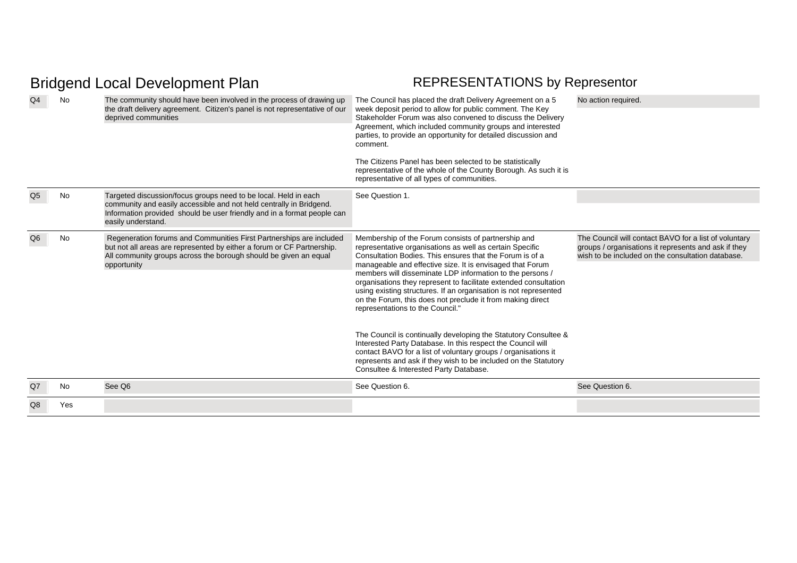| Q4             | <b>No</b> | The community should have been involved in the process of drawing up<br>the draft delivery agreement. Citizen's panel is not representative of our<br>deprived communities                                                              | The Council has placed the draft Delivery Agreement on a 5<br>week deposit period to allow for public comment. The Key<br>Stakeholder Forum was also convened to discuss the Delivery<br>Agreement, which included community groups and interested<br>parties, to provide an opportunity for detailed discussion and<br>comment.<br>The Citizens Panel has been selected to be statistically<br>representative of the whole of the County Borough. As such it is<br>representative of all types of communities.                                                                                                                                                                                                                                                                                                                                                  | No action required.                                                                                                                                                |
|----------------|-----------|-----------------------------------------------------------------------------------------------------------------------------------------------------------------------------------------------------------------------------------------|------------------------------------------------------------------------------------------------------------------------------------------------------------------------------------------------------------------------------------------------------------------------------------------------------------------------------------------------------------------------------------------------------------------------------------------------------------------------------------------------------------------------------------------------------------------------------------------------------------------------------------------------------------------------------------------------------------------------------------------------------------------------------------------------------------------------------------------------------------------|--------------------------------------------------------------------------------------------------------------------------------------------------------------------|
| Q <sub>5</sub> | No        | Targeted discussion/focus groups need to be local. Held in each<br>community and easily accessible and not held centrally in Bridgend.<br>Information provided should be user friendly and in a format people can<br>easily understand. | See Question 1.                                                                                                                                                                                                                                                                                                                                                                                                                                                                                                                                                                                                                                                                                                                                                                                                                                                  |                                                                                                                                                                    |
| Q <sub>6</sub> | No        | Regeneration forums and Communities First Partnerships are included<br>but not all areas are represented by either a forum or CF Partnership.<br>All community groups across the borough should be given an equal<br>opportunity        | Membership of the Forum consists of partnership and<br>representative organisations as well as certain Specific<br>Consultation Bodies. This ensures that the Forum is of a<br>manageable and effective size. It is envisaged that Forum<br>members will disseminate LDP information to the persons /<br>organisations they represent to facilitate extended consultation<br>using existing structures. If an organisation is not represented<br>on the Forum, this does not preclude it from making direct<br>representations to the Council."<br>The Council is continually developing the Statutory Consultee &<br>Interested Party Database. In this respect the Council will<br>contact BAVO for a list of voluntary groups / organisations it<br>represents and ask if they wish to be included on the Statutory<br>Consultee & Interested Party Database. | The Council will contact BAVO for a list of voluntary<br>groups / organisations it represents and ask if they<br>wish to be included on the consultation database. |
| Q7             | <b>No</b> | See Q6                                                                                                                                                                                                                                  | See Question 6.                                                                                                                                                                                                                                                                                                                                                                                                                                                                                                                                                                                                                                                                                                                                                                                                                                                  | See Question 6.                                                                                                                                                    |
| Q8             | Yes       |                                                                                                                                                                                                                                         |                                                                                                                                                                                                                                                                                                                                                                                                                                                                                                                                                                                                                                                                                                                                                                                                                                                                  |                                                                                                                                                                    |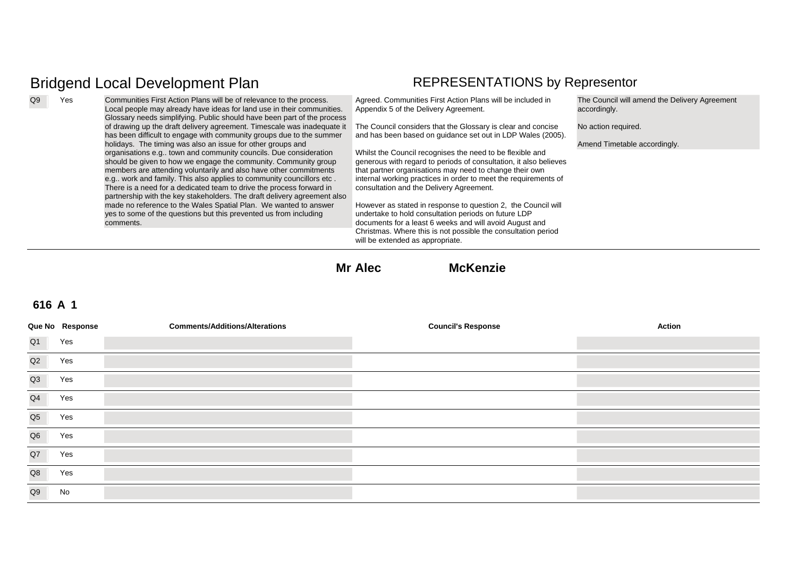Q9 Yes Communities First Action Plans will be of relevance to the process. Local people may already have ideas for land use in their communities. Glossary needs simplifying. Public should have been part of the process of drawing up the draft delivery agreement. Timescale was inadequate it  $\;\;\;\;$  The Council considers that the Glossary is clear and concise has been difficult to engage with community groups due to the summer holidays. The timing was also an issue for other groups and organisations e.g.. town and community councils. Due consideration should be given to how we engage the community. Community group members are attending voluntarily and also have other commitments e.g.. work and family. This also applies to community councillors etc . There is a need for a dedicated team to drive the process forward in partnership with the key stakeholders. The draft delivery agreement also made no reference to the Wales Spatial Plan. We wanted to answer yes to some of the questions but this prevented us from including comments.Agreed. Communities First Action Plans will be included in Appendix 5 of the Delivery Agreement. and has been based on guidance set out in LDP Wales (2005). Whilst the Council recognises the need to be flexible and generous with regard to periods of consultation, it also believes that partner organisations may need to change their own internal working practices in order to meet the requirements of consultation and the Delivery Agreement. However as stated in response to question 2, the Council will undertake to hold consultation periods on future LDP documents for a least 6 weeks and will avoid August and Christmas. Where this is not possible the consultation period will be extended as appropriate. The Council will amend the Delivery Agreement accordingly. No action required. Amend Timetable accordingly.

**Mr Alec McKenzie**

|                | Que No Response | <b>Comments/Additions/Alterations</b> | <b>Council's Response</b> | <b>Action</b> |
|----------------|-----------------|---------------------------------------|---------------------------|---------------|
| Q <sub>1</sub> | Yes             |                                       |                           |               |
| Q2             | Yes             |                                       |                           |               |
| Q3             | Yes             |                                       |                           |               |
| Q4             | Yes             |                                       |                           |               |
| Q <sub>5</sub> | Yes             |                                       |                           |               |
| Q <sub>6</sub> | Yes             |                                       |                           |               |
| Q7             | Yes             |                                       |                           |               |
| Q8             | Yes             |                                       |                           |               |
| Q9             | No              |                                       |                           |               |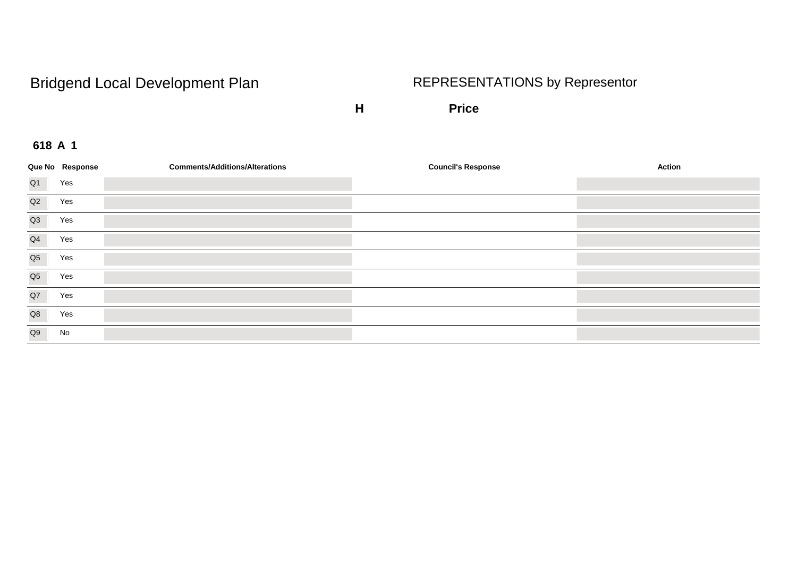**H Price**

|                | Que No Response | <b>Comments/Additions/Alterations</b> | <b>Council's Response</b> | Action |
|----------------|-----------------|---------------------------------------|---------------------------|--------|
| Q1             | Yes             |                                       |                           |        |
| Q2             | Yes             |                                       |                           |        |
| Q3             | Yes             |                                       |                           |        |
| Q <sub>4</sub> | Yes             |                                       |                           |        |
| Q <sub>5</sub> | Yes             |                                       |                           |        |
| Q <sub>5</sub> | Yes             |                                       |                           |        |
| Q7             | Yes             |                                       |                           |        |
| Q8             | Yes             |                                       |                           |        |
| Q9             | No              |                                       |                           |        |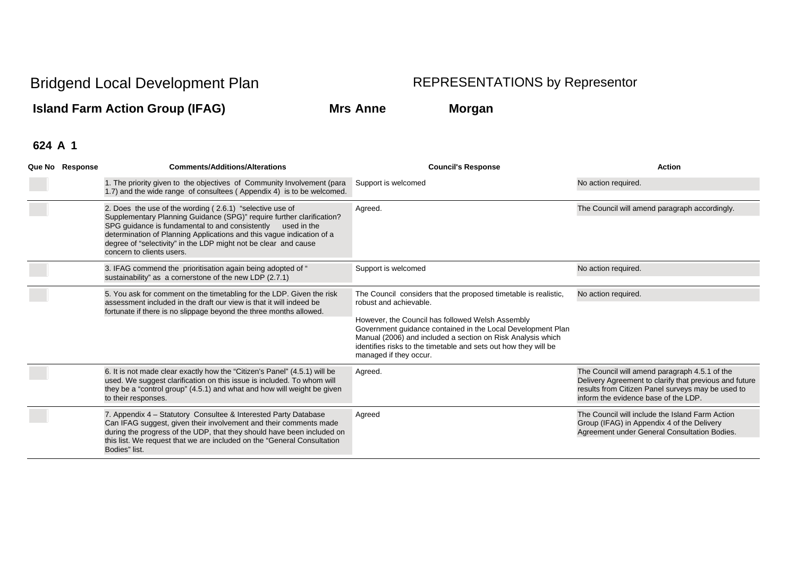**Island Farm Action Group (IFAG) Mrs Anne Morgan**

| Que No Response | <b>Comments/Additions/Alterations</b>                                                                                                                                                                                                                                                                                                                                        | <b>Council's Response</b>                                                                                                                                                                                                                                                                                                                                                | <b>Action</b>                                                                                                                                                                                        |
|-----------------|------------------------------------------------------------------------------------------------------------------------------------------------------------------------------------------------------------------------------------------------------------------------------------------------------------------------------------------------------------------------------|--------------------------------------------------------------------------------------------------------------------------------------------------------------------------------------------------------------------------------------------------------------------------------------------------------------------------------------------------------------------------|------------------------------------------------------------------------------------------------------------------------------------------------------------------------------------------------------|
|                 | 1. The priority given to the objectives of Community Involvement (para<br>1.7) and the wide range of consultees (Appendix 4) is to be welcomed.                                                                                                                                                                                                                              | Support is welcomed                                                                                                                                                                                                                                                                                                                                                      | No action required.                                                                                                                                                                                  |
|                 | 2. Does the use of the wording (2.6.1) "selective use of<br>Supplementary Planning Guidance (SPG)" require further clarification?<br>SPG guidance is fundamental to and consistently<br>used in the<br>determination of Planning Applications and this vague indication of a<br>degree of "selectivity" in the LDP might not be clear and cause<br>concern to clients users. | Agreed.                                                                                                                                                                                                                                                                                                                                                                  | The Council will amend paragraph accordingly.                                                                                                                                                        |
|                 | 3. IFAG commend the prioritisation again being adopted of "<br>sustainability" as a cornerstone of the new LDP (2.7.1)                                                                                                                                                                                                                                                       | Support is welcomed                                                                                                                                                                                                                                                                                                                                                      | No action required.                                                                                                                                                                                  |
|                 | 5. You ask for comment on the timetabling for the LDP. Given the risk<br>assessment included in the draft our view is that it will indeed be<br>fortunate if there is no slippage beyond the three months allowed.                                                                                                                                                           | The Council considers that the proposed timetable is realistic,<br>robust and achievable.<br>However, the Council has followed Welsh Assembly<br>Government quidance contained in the Local Development Plan<br>Manual (2006) and included a section on Risk Analysis which<br>identifies risks to the timetable and sets out how they will be<br>managed if they occur. | No action required.                                                                                                                                                                                  |
|                 | 6. It is not made clear exactly how the "Citizen's Panel" (4.5.1) will be<br>used. We suggest clarification on this issue is included. To whom will<br>they be a "control group" (4.5.1) and what and how will weight be given<br>to their responses.                                                                                                                        | Agreed.                                                                                                                                                                                                                                                                                                                                                                  | The Council will amend paragraph 4.5.1 of the<br>Delivery Agreement to clarify that previous and future<br>results from Citizen Panel surveys may be used to<br>inform the evidence base of the LDP. |
|                 | 7. Appendix 4 - Statutory Consultee & Interested Party Database<br>Can IFAG suggest, given their involvement and their comments made<br>during the progress of the UDP, that they should have been included on<br>this list. We request that we are included on the "General Consultation"<br>Bodies" list.                                                                  | Agreed                                                                                                                                                                                                                                                                                                                                                                   | The Council will include the Island Farm Action<br>Group (IFAG) in Appendix 4 of the Delivery<br>Agreement under General Consultation Bodies.                                                        |